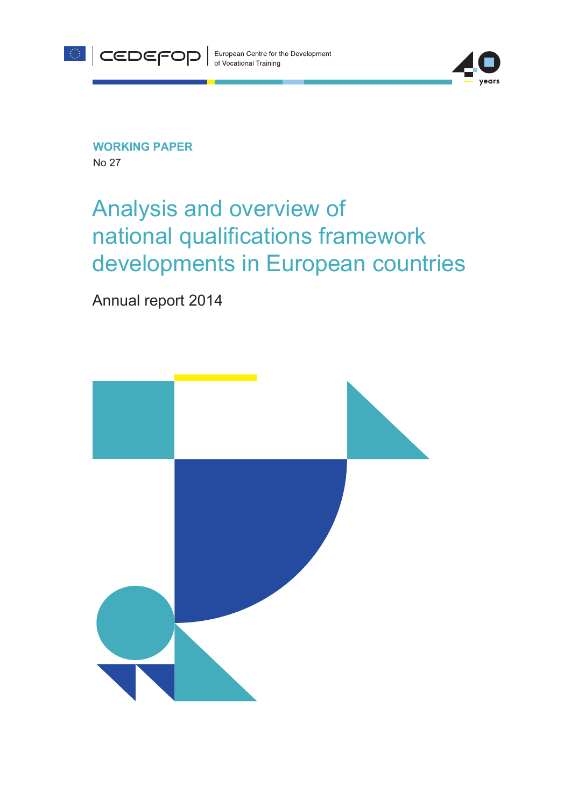



**WORKING PAPER** No 27

# Analysis and overview of national qualifications framework developments in European countries

Annual report 2014

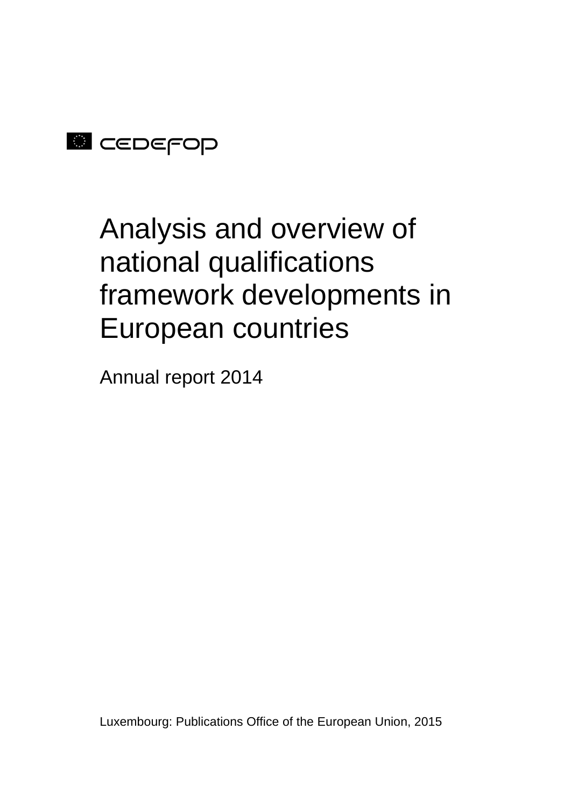

# Analysis and overview of national qualifications framework developments in European countries

Annual report 2014

Luxembourg: Publications Office of the European Union, 2015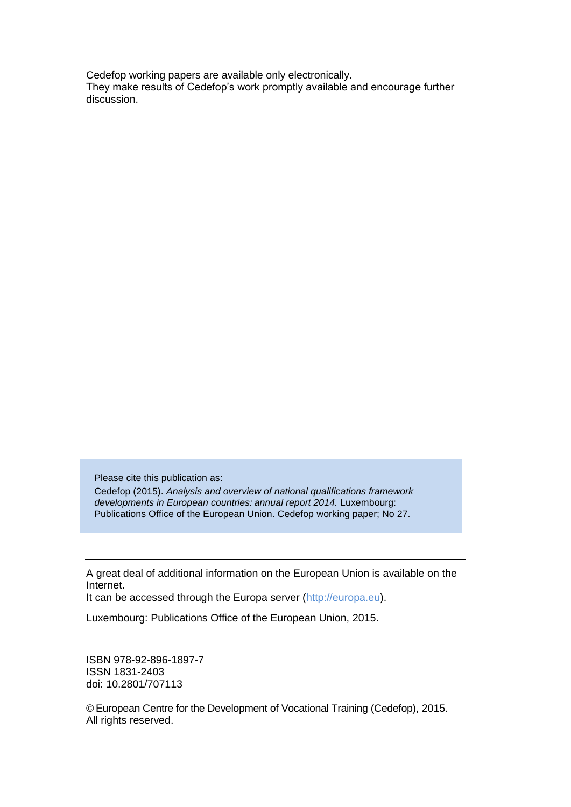Cedefop working papers are available only electronically. They make results of Cedefop's work promptly available and encourage further discussion.

Please cite this publication as:

Cedefop (2015). *Analysis and overview of national qualifications framework developments in European countries: annual report 2014.* Luxembourg: Publications Office of the European Union. Cedefop working paper; No 27.

A great deal of additional information on the European Union is available on the Internet.

It can be accessed through the Europa server (http://europa.eu).

Luxembourg: Publications Office of the European Union, 2015.

ISBN 978-92-896-1897-7 ISSN 1831-2403 doi: 10.2801/707113

© European Centre for the Development of Vocational Training (Cedefop), 2015. All rights reserved.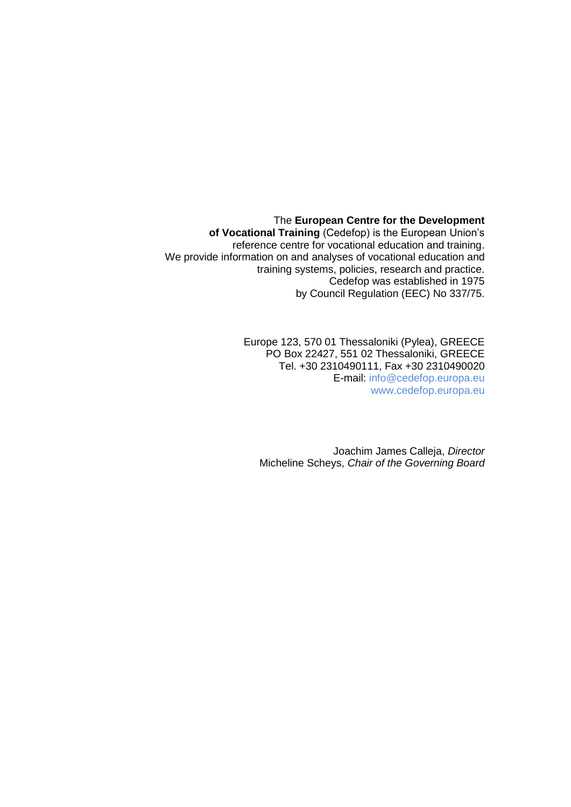The **European Centre for the Development of Vocational Training** (Cedefop) is the European Union's reference centre for vocational education and training. We provide information on and analyses of vocational education and training systems, policies, research and practice. Cedefop was established in 1975 by Council Regulation (EEC) No 337/75.

> Europe 123, 570 01 Thessaloniki (Pylea), GREECE PO Box 22427, 551 02 Thessaloniki, GREECE Tel. +30 2310490111, Fax +30 2310490020 E-mail: info@cedefop.europa.eu [www.cedefop.europa.eu](http://www.cedefop.europa.eu/)

Joachim James Calleja, *Director* Micheline Scheys, *Chair of the Governing Board*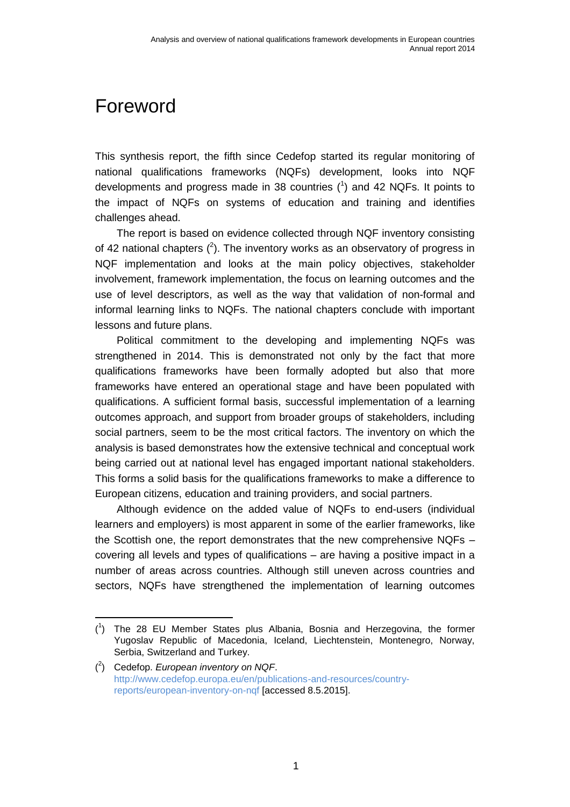## <span id="page-6-0"></span>Foreword

This synthesis report, the fifth since Cedefop started its regular monitoring of national qualifications frameworks (NQFs) development, looks into NQF developments and progress made in 38 countries  $(1)$  and 42 NQFs. It points to the impact of NQFs on systems of education and training and identifies challenges ahead.

The report is based on evidence collected through NQF inventory consisting of 42 national chapters  $(^2)$ . The inventory works as an observatory of progress in NQF implementation and looks at the main policy objectives, stakeholder involvement, framework implementation, the focus on learning outcomes and the use of level descriptors, as well as the way that validation of non-formal and informal learning links to NQFs. The national chapters conclude with important lessons and future plans.

Political commitment to the developing and implementing NQFs was strengthened in 2014. This is demonstrated not only by the fact that more qualifications frameworks have been formally adopted but also that more frameworks have entered an operational stage and have been populated with qualifications. A sufficient formal basis, successful implementation of a learning outcomes approach, and support from broader groups of stakeholders, including social partners, seem to be the most critical factors. The inventory on which the analysis is based demonstrates how the extensive technical and conceptual work being carried out at national level has engaged important national stakeholders. This forms a solid basis for the qualifications frameworks to make a difference to European citizens, education and training providers, and social partners.

Although evidence on the added value of NQFs to end-users (individual learners and employers) is most apparent in some of the earlier frameworks, like the Scottish one, the report demonstrates that the new comprehensive NQFs – covering all levels and types of qualifications – are having a positive impact in a number of areas across countries. Although still uneven across countries and sectors, NQFs have strengthened the implementation of learning outcomes

<sup>(</sup> 1 ) The 28 EU Member States plus Albania, Bosnia and Herzegovina, the former Yugoslav Republic of Macedonia, Iceland, Liechtenstein, Montenegro, Norway, Serbia, Switzerland and Turkey.

<sup>(</sup> 2 ) Cedefop. *European inventory on NQF*. [http://www.cedefop.europa.eu/en/publications-and-resources/country](http://www.cedefop.europa.eu/en/publications-and-resources/country-reports/european-inventory-on-nqf)[reports/european-inventory-on-nqf](http://www.cedefop.europa.eu/en/publications-and-resources/country-reports/european-inventory-on-nqf) [accessed 8.5.2015].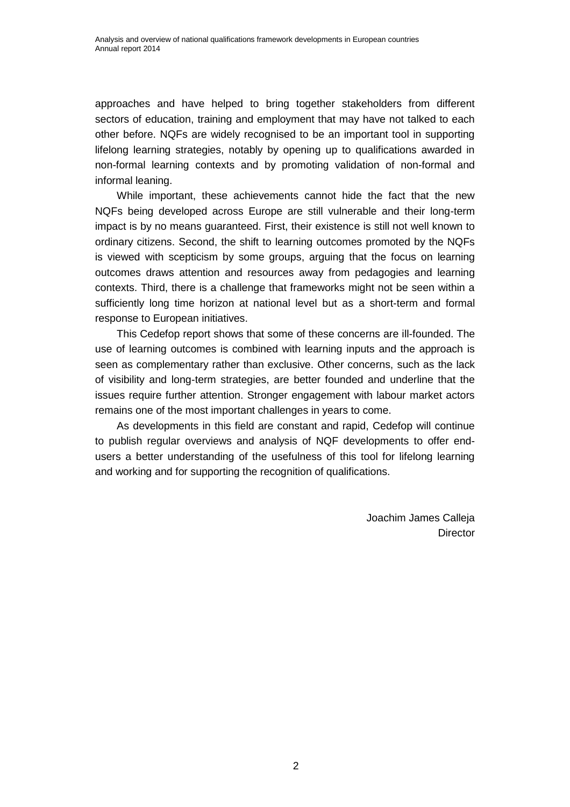approaches and have helped to bring together stakeholders from different sectors of education, training and employment that may have not talked to each other before. NQFs are widely recognised to be an important tool in supporting lifelong learning strategies, notably by opening up to qualifications awarded in non-formal learning contexts and by promoting validation of non-formal and informal leaning.

While important, these achievements cannot hide the fact that the new NQFs being developed across Europe are still vulnerable and their long-term impact is by no means guaranteed. First, their existence is still not well known to ordinary citizens. Second, the shift to learning outcomes promoted by the NQFs is viewed with scepticism by some groups, arguing that the focus on learning outcomes draws attention and resources away from pedagogies and learning contexts. Third, there is a challenge that frameworks might not be seen within a sufficiently long time horizon at national level but as a short-term and formal response to European initiatives.

This Cedefop report shows that some of these concerns are ill-founded. The use of learning outcomes is combined with learning inputs and the approach is seen as complementary rather than exclusive. Other concerns, such as the lack of visibility and long-term strategies, are better founded and underline that the issues require further attention. Stronger engagement with labour market actors remains one of the most important challenges in years to come.

As developments in this field are constant and rapid, Cedefop will continue to publish regular overviews and analysis of NQF developments to offer endusers a better understanding of the usefulness of this tool for lifelong learning and working and for supporting the recognition of qualifications.

> Joachim James Calleja **Director**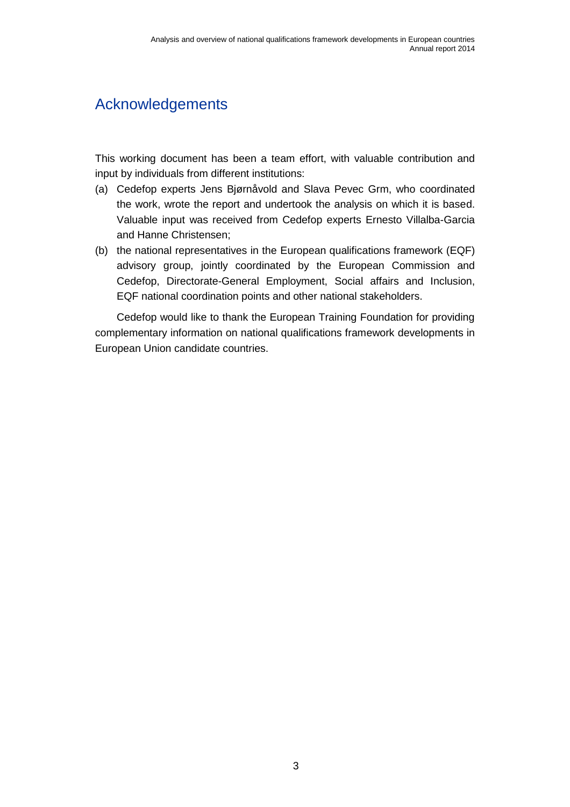## <span id="page-8-0"></span>Acknowledgements

This working document has been a team effort, with valuable contribution and input by individuals from different institutions:

- (a) Cedefop experts Jens Bjørnåvold and Slava Pevec Grm, who coordinated the work, wrote the report and undertook the analysis on which it is based. Valuable input was received from Cedefop experts Ernesto Villalba-Garcia and Hanne Christensen;
- (b) the national representatives in the European qualifications framework (EQF) advisory group, jointly coordinated by the European Commission and Cedefop, Directorate-General Employment, Social affairs and Inclusion, EQF national coordination points and other national stakeholders.

Cedefop would like to thank the European Training Foundation for providing complementary information on national qualifications framework developments in European Union candidate countries.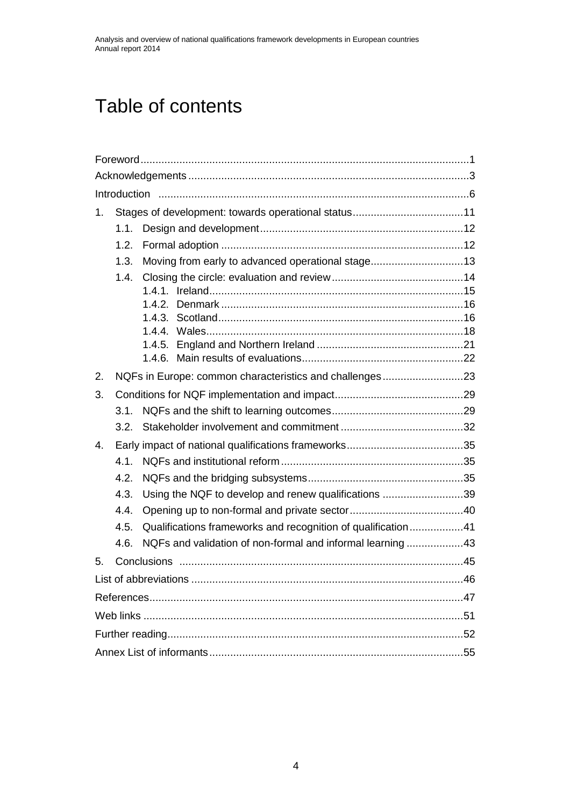## Table of contents

| 1. |                                                         |                                                              |  |  |  |  |
|----|---------------------------------------------------------|--------------------------------------------------------------|--|--|--|--|
|    | 1.1.                                                    |                                                              |  |  |  |  |
|    | 1.2.                                                    |                                                              |  |  |  |  |
|    | 1.3.                                                    | Moving from early to advanced operational stage13            |  |  |  |  |
|    | 1.4.                                                    |                                                              |  |  |  |  |
|    |                                                         |                                                              |  |  |  |  |
|    |                                                         |                                                              |  |  |  |  |
|    |                                                         |                                                              |  |  |  |  |
|    |                                                         |                                                              |  |  |  |  |
|    |                                                         |                                                              |  |  |  |  |
| 2. | NQFs in Europe: common characteristics and challenges23 |                                                              |  |  |  |  |
| 3. |                                                         |                                                              |  |  |  |  |
|    | 3.1.                                                    |                                                              |  |  |  |  |
|    | 3.2.                                                    |                                                              |  |  |  |  |
| 4. |                                                         |                                                              |  |  |  |  |
|    | 4.1                                                     |                                                              |  |  |  |  |
|    | 4.2.                                                    |                                                              |  |  |  |  |
|    | 4.3.                                                    | Using the NQF to develop and renew qualifications 39         |  |  |  |  |
|    | 4.4.                                                    |                                                              |  |  |  |  |
|    | 4.5.                                                    | Qualifications frameworks and recognition of qualification41 |  |  |  |  |
|    | 4.6.                                                    | NQFs and validation of non-formal and informal learning 43   |  |  |  |  |
| 5. |                                                         |                                                              |  |  |  |  |
|    |                                                         |                                                              |  |  |  |  |
|    |                                                         |                                                              |  |  |  |  |
|    |                                                         |                                                              |  |  |  |  |
|    |                                                         |                                                              |  |  |  |  |
|    |                                                         |                                                              |  |  |  |  |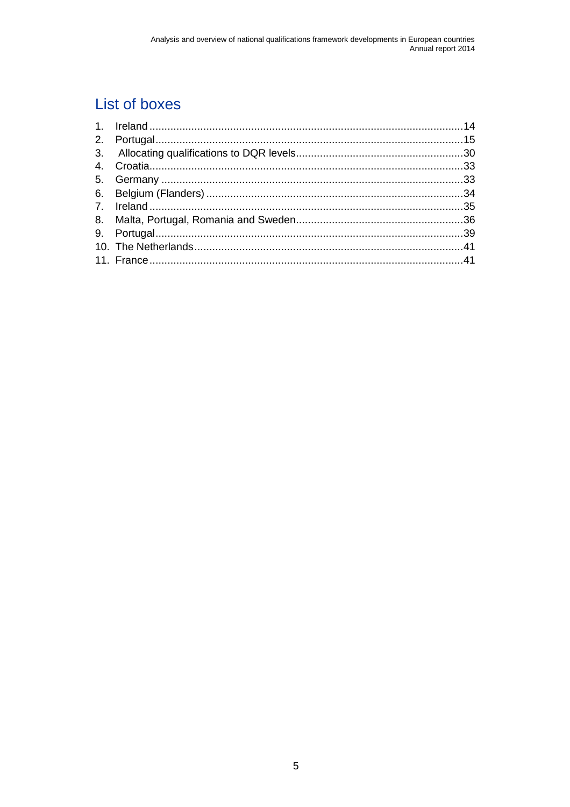## List of boxes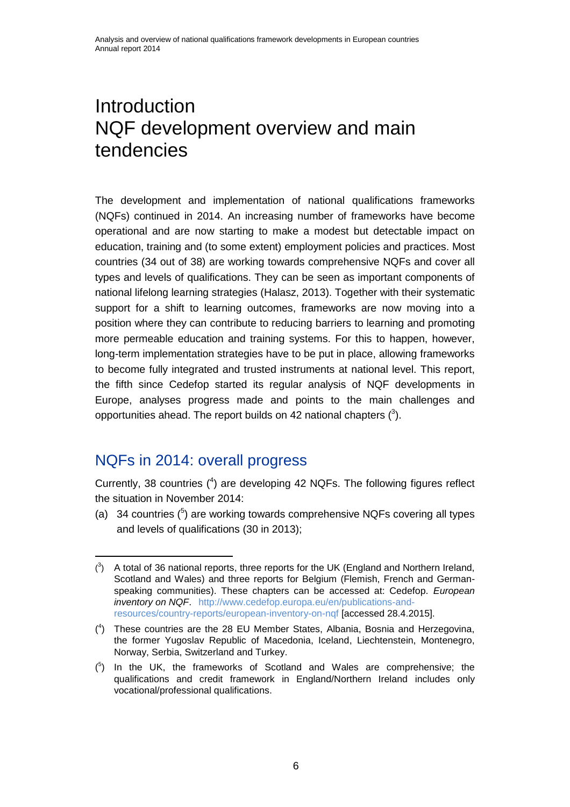## <span id="page-11-0"></span>**Introduction** NQF development overview and main tendencies

The development and implementation of national qualifications frameworks (NQFs) continued in 2014. An increasing number of frameworks have become operational and are now starting to make a modest but detectable impact on education, training and (to some extent) employment policies and practices. Most countries (34 out of 38) are working towards comprehensive NQFs and cover all types and levels of qualifications. They can be seen as important components of national lifelong learning strategies (Halasz, 2013). Together with their systematic support for a shift to learning outcomes, frameworks are now moving into a position where they can contribute to reducing barriers to learning and promoting more permeable education and training systems. For this to happen, however, long-term implementation strategies have to be put in place, allowing frameworks to become fully integrated and trusted instruments at national level. This report, the fifth since Cedefop started its regular analysis of NQF developments in Europe, analyses progress made and points to the main challenges and opportunities ahead. The report builds on 42 national chapters  $(^3)$ .

### NQFs in 2014: overall progress

 $\overline{a}$ 

Currently, 38 countries  $(4)$  are developing 42 NQFs. The following figures reflect the situation in November 2014:

(a) 34 countries  $(^5)$  are working towards comprehensive NQFs covering all types and levels of qualifications (30 in 2013);

 $(3)$  A total of 36 national reports, three reports for the UK (England and Northern Ireland, Scotland and Wales) and three reports for Belgium (Flemish, French and Germanspeaking communities). These chapters can be accessed at: Cedefop. *European inventory on NQF*. [http://www.cedefop.europa.eu/en/publications-and](http://www.cedefop.europa.eu/en/publications-and-resources/country-reports/european-inventory-on-nqf)[resources/country-reports/european-inventory-on-nqf](http://www.cedefop.europa.eu/en/publications-and-resources/country-reports/european-inventory-on-nqf) [accessed 28.4.2015].

<sup>(</sup> 4 ) These countries are the 28 EU Member States, Albania, Bosnia and Herzegovina, the former Yugoslav Republic of Macedonia, Iceland, Liechtenstein, Montenegro, Norway, Serbia, Switzerland and Turkey.

 $(5)$  In the UK, the frameworks of Scotland and Wales are comprehensive; the qualifications and credit framework in England/Northern Ireland includes only vocational/professional qualifications.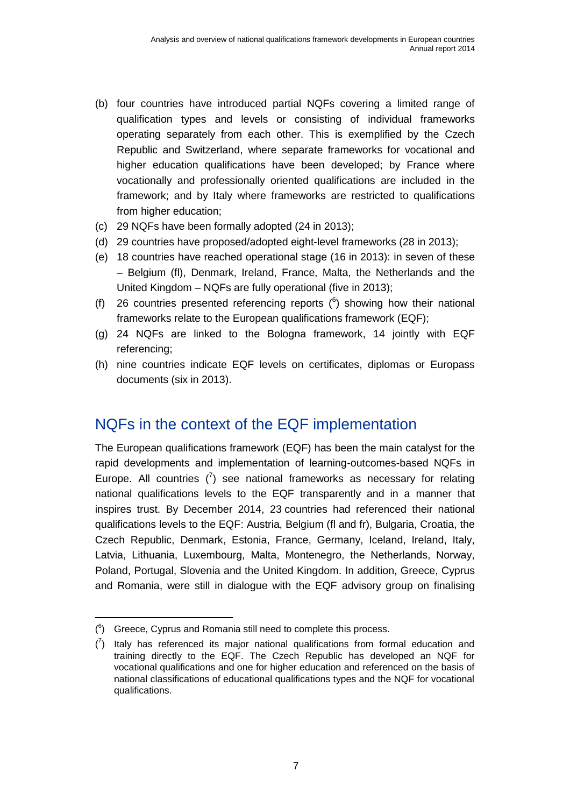- (b) four countries have introduced partial NQFs covering a limited range of qualification types and levels or consisting of individual frameworks operating separately from each other. This is exemplified by the Czech Republic and Switzerland, where separate frameworks for vocational and higher education qualifications have been developed; by France where vocationally and professionally oriented qualifications are included in the framework; and by Italy where frameworks are restricted to qualifications from higher education;
- (c) 29 NQFs have been formally adopted (24 in 2013);
- (d) 29 countries have proposed/adopted eight-level frameworks (28 in 2013);
- (e) 18 countries have reached operational stage (16 in 2013): in seven of these – Belgium (fl), Denmark, Ireland, France, Malta, the Netherlands and the United Kingdom – NQFs are fully operational (five in 2013);
- (f) 26 countries presented referencing reports  $(^6)$  showing how their national frameworks relate to the European qualifications framework (EQF);
- (g) 24 NQFs are linked to the Bologna framework, 14 jointly with EQF referencing;
- (h) nine countries indicate EQF levels on certificates, diplomas or Europass documents (six in 2013).

### NQFs in the context of the EQF implementation

The European qualifications framework (EQF) has been the main catalyst for the rapid developments and implementation of learning-outcomes-based NQFs in Europe. All countries  $\binom{7}{1}$  see national frameworks as necessary for relating national qualifications levels to the EQF transparently and in a manner that inspires trust. By December 2014, 23 countries had referenced their national qualifications levels to the EQF: Austria, Belgium (fl and fr), Bulgaria, Croatia, the Czech Republic, Denmark, Estonia, France, Germany, Iceland, Ireland, Italy, Latvia, Lithuania, Luxembourg, Malta, Montenegro, the Netherlands, Norway, Poland, Portugal, Slovenia and the United Kingdom. In addition, Greece, Cyprus and Romania, were still in dialogue with the EQF advisory group on finalising

 $(6)$  Greece, Cyprus and Romania still need to complete this process.

 $\binom{7}{1}$  Italy has referenced its major national qualifications from formal education and training directly to the EQF. The Czech Republic has developed an NQF for vocational qualifications and one for higher education and referenced on the basis of national classifications of educational qualifications types and the NQF for vocational qualifications.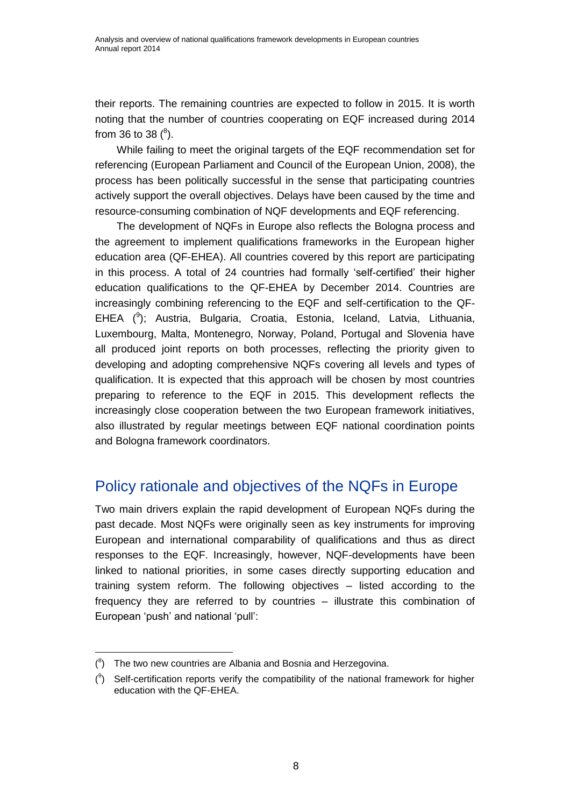their reports. The remaining countries are expected to follow in 2015. It is worth noting that the number of countries cooperating on EQF increased during 2014 from 36 to 38  $(^8)$ .

While failing to meet the original targets of the EQF recommendation set for referencing (European Parliament and Council of the European Union, 2008), the process has been politically successful in the sense that participating countries actively support the overall objectives. Delays have been caused by the time and resource-consuming combination of NQF developments and EQF referencing.

The development of NQFs in Europe also reflects the Bologna process and the agreement to implement qualifications frameworks in the European higher education area (QF-EHEA). All countries covered by this report are participating in this process. A total of 24 countries had formally 'self-certified' their higher education qualifications to the QF-EHEA by December 2014. Countries are increasingly combining referencing to the EQF and self-certification to the QF-EHEA (<sup>9</sup>); Austria, Bulgaria, Croatia, Estonia, Iceland, Latvia, Lithuania, Luxembourg, Malta, Montenegro, Norway, Poland, Portugal and Slovenia have all produced joint reports on both processes, reflecting the priority given to developing and adopting comprehensive NQFs covering all levels and types of qualification. It is expected that this approach will be chosen by most countries preparing to reference to the EQF in 2015. This development reflects the increasingly close cooperation between the two European framework initiatives, also illustrated by regular meetings between EQF national coordination points and Bologna framework coordinators.

## Policy rationale and objectives of the NQFs in Europe

Two main drivers explain the rapid development of European NQFs during the past decade. Most NQFs were originally seen as key instruments for improving European and international comparability of qualifications and thus as direct responses to the EQF. Increasingly, however, NQF-developments have been linked to national priorities, in some cases directly supporting education and training system reform. The following objectives – listed according to the frequency they are referred to by countries – illustrate this combination of European 'push' and national 'pull':

 $(8)$  The two new countries are Albania and Bosnia and Herzegovina.

 $(3)$  Self-certification reports verify the compatibility of the national framework for higher education with the QF-EHEA.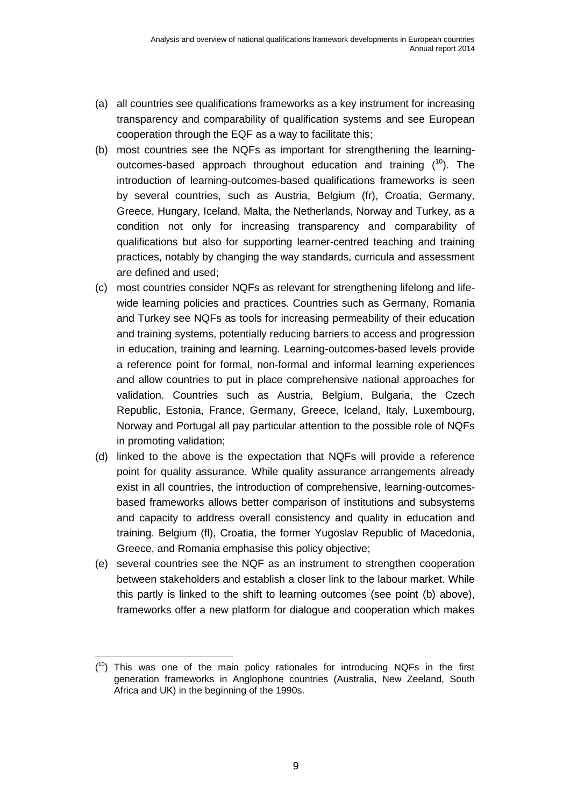- (a) all countries see qualifications frameworks as a key instrument for increasing transparency and comparability of qualification systems and see European cooperation through the EQF as a way to facilitate this;
- (b) most countries see the NQFs as important for strengthening the learningoutcomes-based approach throughout education and training  $(^{10})$ . The introduction of learning-outcomes-based qualifications frameworks is seen by several countries, such as Austria, Belgium (fr), Croatia, Germany, Greece, Hungary, Iceland, Malta, the Netherlands, Norway and Turkey, as a condition not only for increasing transparency and comparability of qualifications but also for supporting learner-centred teaching and training practices, notably by changing the way standards, curricula and assessment are defined and used;
- (c) most countries consider NQFs as relevant for strengthening lifelong and lifewide learning policies and practices. Countries such as Germany, Romania and Turkey see NQFs as tools for increasing permeability of their education and training systems, potentially reducing barriers to access and progression in education, training and learning. Learning-outcomes-based levels provide a reference point for formal, non-formal and informal learning experiences and allow countries to put in place comprehensive national approaches for validation. Countries such as Austria, Belgium, Bulgaria, the Czech Republic, Estonia, France, Germany, Greece, Iceland, Italy, Luxembourg, Norway and Portugal all pay particular attention to the possible role of NQFs in promoting validation;
- (d) linked to the above is the expectation that NQFs will provide a reference point for quality assurance. While quality assurance arrangements already exist in all countries, the introduction of comprehensive, learning-outcomesbased frameworks allows better comparison of institutions and subsystems and capacity to address overall consistency and quality in education and training. Belgium (fl), Croatia, the former Yugoslav Republic of Macedonia, Greece, and Romania emphasise this policy objective;
- (e) several countries see the NQF as an instrument to strengthen cooperation between stakeholders and establish a closer link to the labour market. While this partly is linked to the shift to learning outcomes (see point (b) above), frameworks offer a new platform for dialogue and cooperation which makes

  $(10)$  This was one of the main policy rationales for introducing NQFs in the first generation frameworks in Anglophone countries (Australia, New Zeeland, South Africa and UK) in the beginning of the 1990s.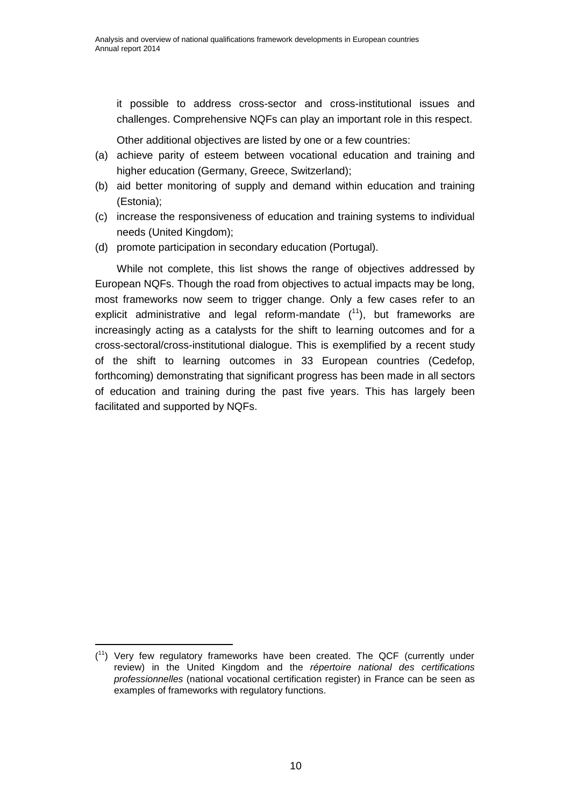it possible to address cross-sector and cross-institutional issues and challenges. Comprehensive NQFs can play an important role in this respect.

Other additional objectives are listed by one or a few countries:

- (a) achieve parity of esteem between vocational education and training and higher education (Germany, Greece, Switzerland);
- (b) aid better monitoring of supply and demand within education and training (Estonia);
- (c) increase the responsiveness of education and training systems to individual needs (United Kingdom);
- (d) promote participation in secondary education (Portugal).

While not complete, this list shows the range of objectives addressed by European NQFs. Though the road from objectives to actual impacts may be long, most frameworks now seem to trigger change. Only a few cases refer to an explicit administrative and legal reform-mandate  $(1)$ , but frameworks are increasingly acting as a catalysts for the shift to learning outcomes and for a cross-sectoral/cross-institutional dialogue. This is exemplified by a recent study of the shift to learning outcomes in 33 European countries (Cedefop, forthcoming) demonstrating that significant progress has been made in all sectors of education and training during the past five years. This has largely been facilitated and supported by NQFs.

  $(1)$  Very few regulatory frameworks have been created. The QCF (currently under review) in the United Kingdom and the *répertoire national des certifications professionnelles* (national vocational certification register) in France can be seen as examples of frameworks with regulatory functions.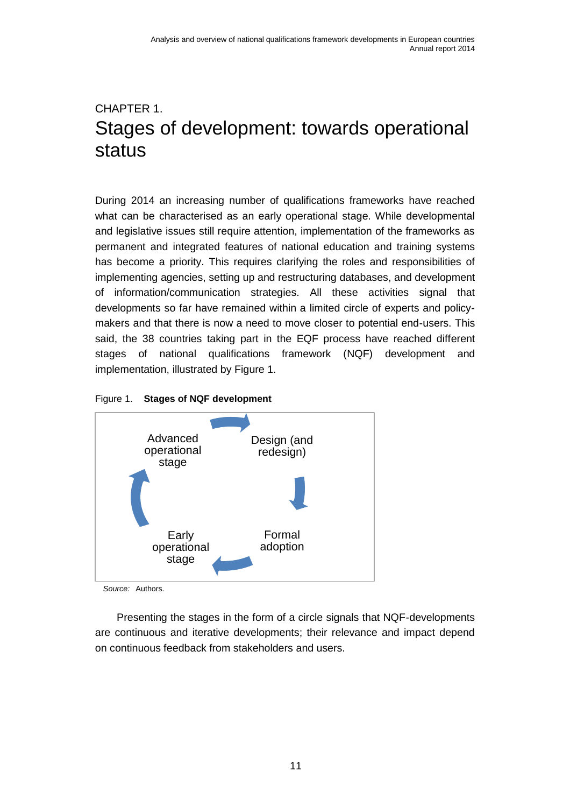## <span id="page-16-0"></span>CHAPTER 1. Stages of development: towards operational status

During 2014 an increasing number of qualifications frameworks have reached what can be characterised as an early operational stage. While developmental and legislative issues still require attention, implementation of the frameworks as permanent and integrated features of national education and training systems has become a priority. This requires clarifying the roles and responsibilities of implementing agencies, setting up and restructuring databases, and development of information/communication strategies. All these activities signal that developments so far have remained within a limited circle of experts and policymakers and that there is now a need to move closer to potential end-users. This said, the 38 countries taking part in the EQF process have reached different stages of national qualifications framework (NQF) development and implementation, illustrated by Figure 1.

#### Figure 1. **Stages of NQF development**



*Source:* Authors.

Presenting the stages in the form of a circle signals that NQF-developments are continuous and iterative developments; their relevance and impact depend on continuous feedback from stakeholders and users.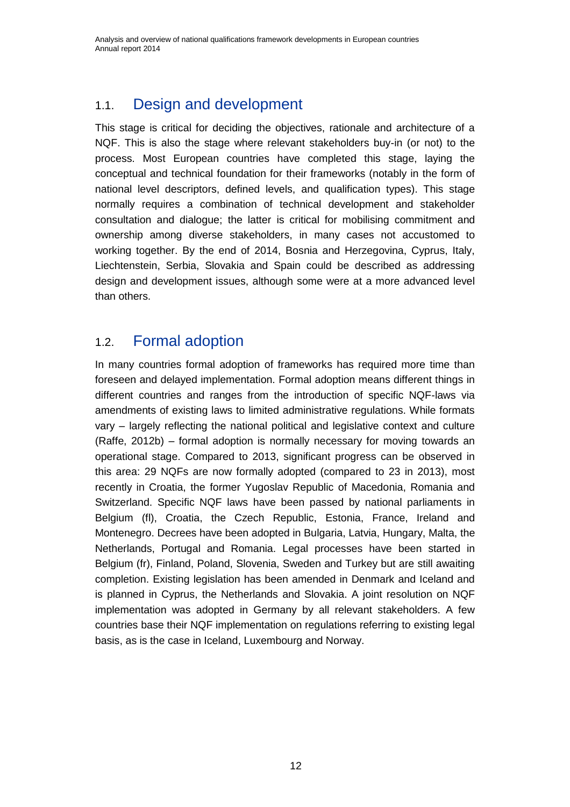## <span id="page-17-0"></span>1.1. Design and development

This stage is critical for deciding the objectives, rationale and architecture of a NQF. This is also the stage where relevant stakeholders buy-in (or not) to the process. Most European countries have completed this stage, laying the conceptual and technical foundation for their frameworks (notably in the form of national level descriptors, defined levels, and qualification types). This stage normally requires a combination of technical development and stakeholder consultation and dialogue; the latter is critical for mobilising commitment and ownership among diverse stakeholders, in many cases not accustomed to working together. By the end of 2014, Bosnia and Herzegovina, Cyprus, Italy, Liechtenstein, Serbia, Slovakia and Spain could be described as addressing design and development issues, although some were at a more advanced level than others.

### <span id="page-17-1"></span>1.2. Formal adoption

In many countries formal adoption of frameworks has required more time than foreseen and delayed implementation. Formal adoption means different things in different countries and ranges from the introduction of specific NQF-laws via amendments of existing laws to limited administrative regulations. While formats vary – largely reflecting the national political and legislative context and culture (Raffe, 2012b) – formal adoption is normally necessary for moving towards an operational stage. Compared to 2013, significant progress can be observed in this area: 29 NQFs are now formally adopted (compared to 23 in 2013), most recently in Croatia, the former Yugoslav Republic of Macedonia, Romania and Switzerland. Specific NQF laws have been passed by national parliaments in Belgium (fl), Croatia, the Czech Republic, Estonia, France, Ireland and Montenegro. Decrees have been adopted in Bulgaria, Latvia, Hungary, Malta, the Netherlands, Portugal and Romania. Legal processes have been started in Belgium (fr), Finland, Poland, Slovenia, Sweden and Turkey but are still awaiting completion. Existing legislation has been amended in Denmark and Iceland and is planned in Cyprus, the Netherlands and Slovakia. A joint resolution on NQF implementation was adopted in Germany by all relevant stakeholders. A few countries base their NQF implementation on regulations referring to existing legal basis, as is the case in Iceland, Luxembourg and Norway.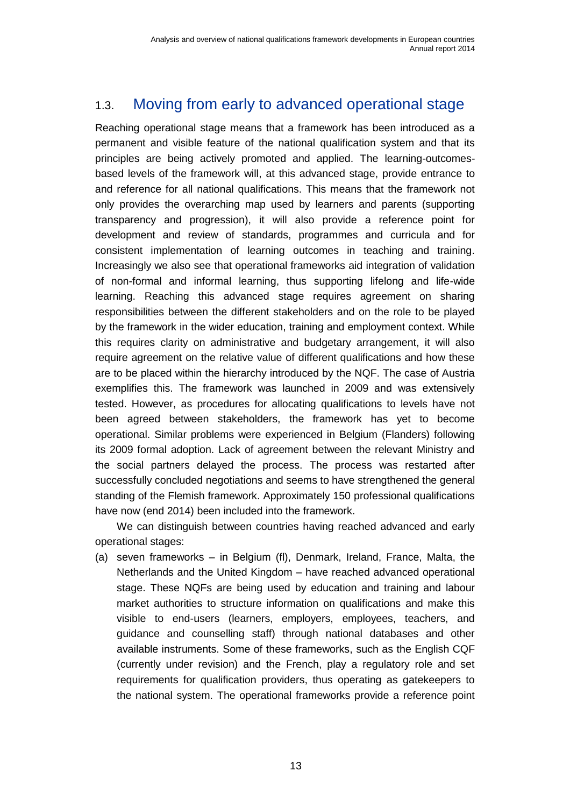## <span id="page-18-0"></span>1.3. Moving from early to advanced operational stage

Reaching operational stage means that a framework has been introduced as a permanent and visible feature of the national qualification system and that its principles are being actively promoted and applied. The learning-outcomesbased levels of the framework will, at this advanced stage, provide entrance to and reference for all national qualifications. This means that the framework not only provides the overarching map used by learners and parents (supporting transparency and progression), it will also provide a reference point for development and review of standards, programmes and curricula and for consistent implementation of learning outcomes in teaching and training. Increasingly we also see that operational frameworks aid integration of validation of non-formal and informal learning, thus supporting lifelong and life-wide learning. Reaching this advanced stage requires agreement on sharing responsibilities between the different stakeholders and on the role to be played by the framework in the wider education, training and employment context. While this requires clarity on administrative and budgetary arrangement, it will also require agreement on the relative value of different qualifications and how these are to be placed within the hierarchy introduced by the NQF. The case of Austria exemplifies this. The framework was launched in 2009 and was extensively tested. However, as procedures for allocating qualifications to levels have not been agreed between stakeholders, the framework has yet to become operational. Similar problems were experienced in Belgium (Flanders) following its 2009 formal adoption. Lack of agreement between the relevant Ministry and the social partners delayed the process. The process was restarted after successfully concluded negotiations and seems to have strengthened the general standing of the Flemish framework. Approximately 150 professional qualifications have now (end 2014) been included into the framework.

We can distinguish between countries having reached advanced and early operational stages:

(a) seven frameworks – in Belgium (fl), Denmark, Ireland, France, Malta, the Netherlands and the United Kingdom – have reached advanced operational stage. These NQFs are being used by education and training and labour market authorities to structure information on qualifications and make this visible to end-users (learners, employers, employees, teachers, and guidance and counselling staff) through national databases and other available instruments. Some of these frameworks, such as the English CQF (currently under revision) and the French, play a regulatory role and set requirements for qualification providers, thus operating as gatekeepers to the national system. The operational frameworks provide a reference point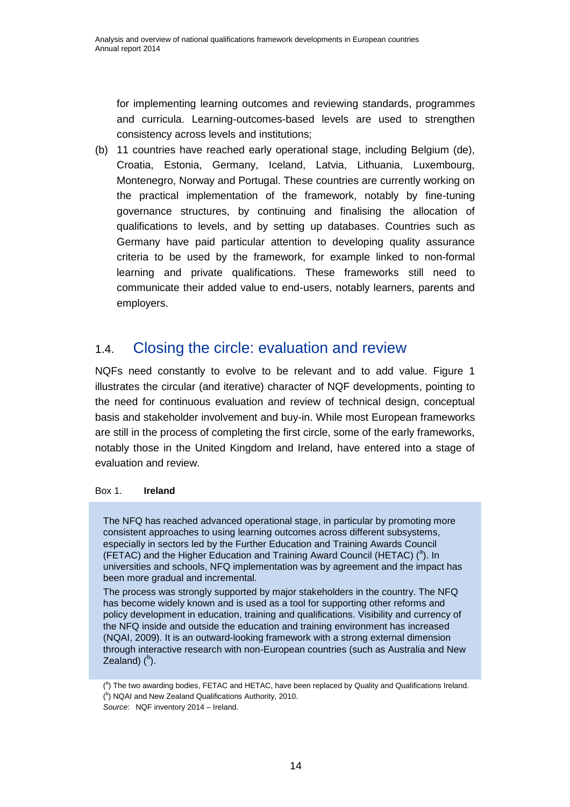for implementing learning outcomes and reviewing standards, programmes and curricula. Learning-outcomes-based levels are used to strengthen consistency across levels and institutions;

(b) 11 countries have reached early operational stage, including Belgium (de), Croatia, Estonia, Germany, Iceland, Latvia, Lithuania, Luxembourg, Montenegro, Norway and Portugal. These countries are currently working on the practical implementation of the framework, notably by fine-tuning governance structures, by continuing and finalising the allocation of qualifications to levels, and by setting up databases. Countries such as Germany have paid particular attention to developing quality assurance criteria to be used by the framework, for example linked to non-formal learning and private qualifications. These frameworks still need to communicate their added value to end-users, notably learners, parents and employers.

### <span id="page-19-0"></span>1.4. Closing the circle: evaluation and review

NQFs need constantly to evolve to be relevant and to add value. Figure 1 illustrates the circular (and iterative) character of NQF developments, pointing to the need for continuous evaluation and review of technical design, conceptual basis and stakeholder involvement and buy-in. While most European frameworks are still in the process of completing the first circle, some of the early frameworks, notably those in the United Kingdom and Ireland, have entered into a stage of evaluation and review.

#### Box 1. **Ireland**

The NFQ has reached advanced operational stage, in particular by promoting more consistent approaches to using learning outcomes across different subsystems, especially in sectors led by the Further Education and Training Awards Council (FETAC) and the Higher Education and Training Award Council (HETAC)  $(^a)$ . In universities and schools, NFQ implementation was by agreement and the impact has been more gradual and incremental.

The process was strongly supported by major stakeholders in the country. The NFQ has become widely known and is used as a tool for supporting other reforms and policy development in education, training and qualifications. Visibility and currency of the NFQ inside and outside the education and training environment has increased (NQAI, 2009). It is an outward-looking framework with a strong external dimension through interactive research with non-European countries (such as Australia and New Zealand) $(^{b})$ .

 $(3)$  The two awarding bodies, FETAC and HETAC, have been replaced by Quality and Qualifications Ireland.

 $(^{b})$  NQAI and New Zealand Qualifications Authority, 2010.

*Source*: NQF inventory 2014 – Ireland.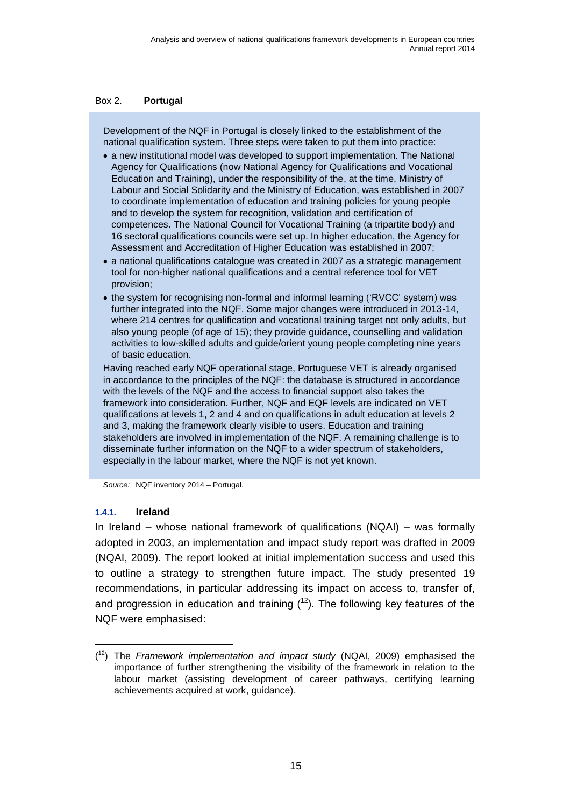#### <span id="page-20-1"></span>Box 2. **Portugal**

Development of the NQF in Portugal is closely linked to the establishment of the national qualification system. Three steps were taken to put them into practice:

- a new institutional model was developed to support implementation. The National Agency for Qualifications (now National Agency for Qualifications and Vocational Education and Training), under the responsibility of the, at the time, Ministry of Labour and Social Solidarity and the Ministry of Education, was established in 2007 to coordinate implementation of education and training policies for young people and to develop the system for recognition, validation and certification of competences. The National Council for Vocational Training (a tripartite body) and 16 sectoral qualifications councils were set up. In higher education, the Agency for Assessment and Accreditation of Higher Education was established in 2007;
- a national qualifications catalogue was created in 2007 as a strategic management tool for non-higher national qualifications and a central reference tool for VET provision;
- the system for recognising non-formal and informal learning ('RVCC' system) was further integrated into the NQF. Some major changes were introduced in 2013-14, where 214 centres for qualification and vocational training target not only adults, but also young people (of age of 15); they provide guidance, counselling and validation activities to low-skilled adults and guide/orient young people completing nine years of basic education.

Having reached early NQF operational stage, Portuguese VET is already organised in accordance to the principles of the NQF: the database is structured in accordance with the levels of the NQF and the access to financial support also takes the framework into consideration. Further, NQF and EQF levels are indicated on VET qualifications at levels 1, 2 and 4 and on qualifications in adult education at levels 2 and 3, making the framework clearly visible to users. Education and training stakeholders are involved in implementation of the NQF. A remaining challenge is to disseminate further information on the NQF to a wider spectrum of stakeholders, especially in the labour market, where the NQF is not yet known.

<span id="page-20-0"></span>*Source:* NQF inventory 2014 – Portugal.

#### **1.4.1. Ireland**

In Ireland – whose national framework of qualifications (NQAI) – was formally adopted in 2003, an implementation and impact study report was drafted in 2009 (NQAI, 2009). The report looked at initial implementation success and used this to outline a strategy to strengthen future impact. The study presented 19 recommendations, in particular addressing its impact on access to, transfer of, and progression in education and training  $(1^2)$ . The following key features of the NQF were emphasised:

<sup>(</sup> <sup>12</sup>) The *Framework implementation and impact study* (NQAI, 2009) emphasised the importance of further strengthening the visibility of the framework in relation to the labour market (assisting development of career pathways, certifying learning achievements acquired at work, guidance).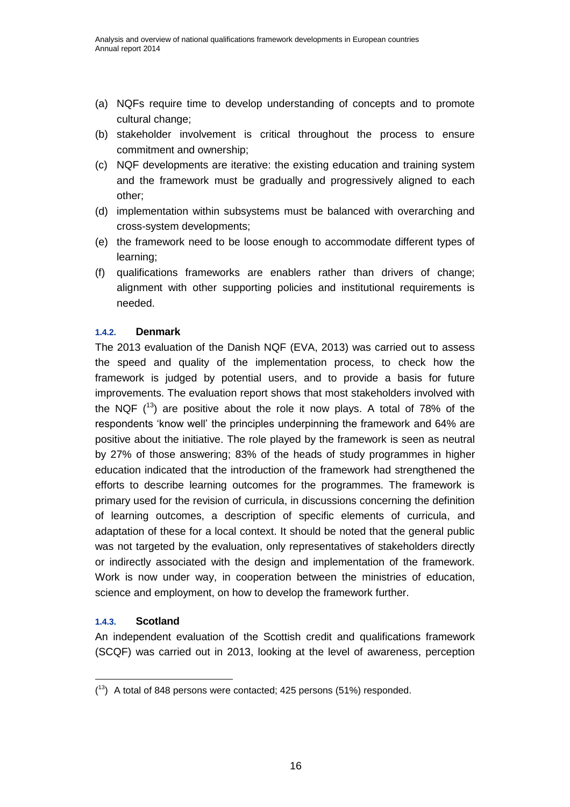- (a) NQFs require time to develop understanding of concepts and to promote cultural change;
- (b) stakeholder involvement is critical throughout the process to ensure commitment and ownership;
- (c) NQF developments are iterative: the existing education and training system and the framework must be gradually and progressively aligned to each other;
- (d) implementation within subsystems must be balanced with overarching and cross-system developments;
- (e) the framework need to be loose enough to accommodate different types of learning;
- (f) qualifications frameworks are enablers rather than drivers of change; alignment with other supporting policies and institutional requirements is needed.

#### <span id="page-21-0"></span>**1.4.2. Denmark**

The 2013 evaluation of the Danish NQF (EVA, 2013) was carried out to assess the speed and quality of the implementation process, to check how the framework is judged by potential users, and to provide a basis for future improvements. The evaluation report shows that most stakeholders involved with the NQF  $(13)$  are positive about the role it now plays. A total of 78% of the respondents 'know well' the principles underpinning the framework and 64% are positive about the initiative. The role played by the framework is seen as neutral by 27% of those answering; 83% of the heads of study programmes in higher education indicated that the introduction of the framework had strengthened the efforts to describe learning outcomes for the programmes. The framework is primary used for the revision of curricula, in discussions concerning the definition of learning outcomes, a description of specific elements of curricula, and adaptation of these for a local context. It should be noted that the general public was not targeted by the evaluation, only representatives of stakeholders directly or indirectly associated with the design and implementation of the framework. Work is now under way, in cooperation between the ministries of education, science and employment, on how to develop the framework further.

#### <span id="page-21-1"></span>**1.4.3. Scotland**

An independent evaluation of the Scottish credit and qualifications framework (SCQF) was carried out in 2013, looking at the level of awareness, perception

 $(13)$  A total of 848 persons were contacted; 425 persons (51%) responded.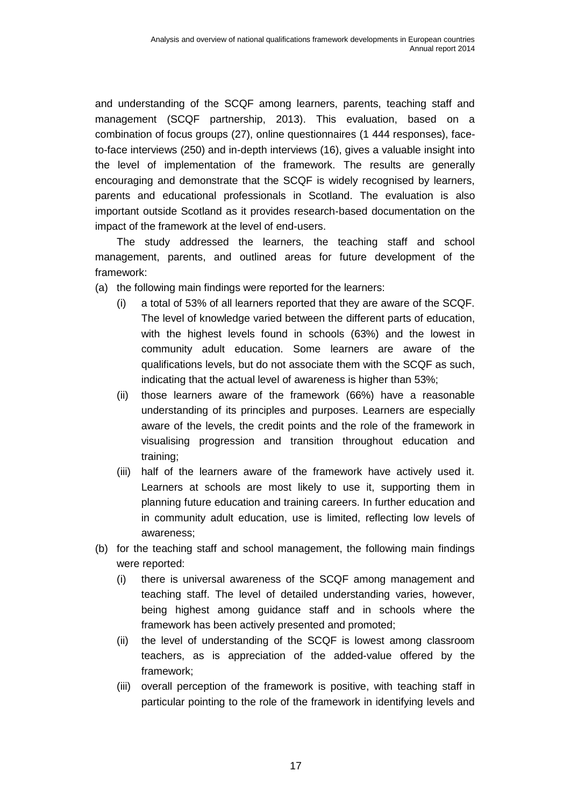and understanding of the SCQF among learners, parents, teaching staff and management (SCQF partnership, 2013). This evaluation, based on a combination of focus groups (27), online questionnaires (1 444 responses), faceto-face interviews (250) and in-depth interviews (16), gives a valuable insight into the level of implementation of the framework. The results are generally encouraging and demonstrate that the SCQF is widely recognised by learners, parents and educational professionals in Scotland. The evaluation is also important outside Scotland as it provides research-based documentation on the impact of the framework at the level of end-users.

The study addressed the learners, the teaching staff and school management, parents, and outlined areas for future development of the framework:

- (a) the following main findings were reported for the learners:
	- (i) a total of 53% of all learners reported that they are aware of the SCQF. The level of knowledge varied between the different parts of education, with the highest levels found in schools (63%) and the lowest in community adult education. Some learners are aware of the qualifications levels, but do not associate them with the SCQF as such, indicating that the actual level of awareness is higher than 53%;
	- (ii) those learners aware of the framework (66%) have a reasonable understanding of its principles and purposes. Learners are especially aware of the levels, the credit points and the role of the framework in visualising progression and transition throughout education and training;
	- (iii) half of the learners aware of the framework have actively used it. Learners at schools are most likely to use it, supporting them in planning future education and training careers. In further education and in community adult education, use is limited, reflecting low levels of awareness;
- (b) for the teaching staff and school management, the following main findings were reported:
	- (i) there is universal awareness of the SCQF among management and teaching staff. The level of detailed understanding varies, however, being highest among guidance staff and in schools where the framework has been actively presented and promoted;
	- (ii) the level of understanding of the SCQF is lowest among classroom teachers, as is appreciation of the added-value offered by the framework;
	- (iii) overall perception of the framework is positive, with teaching staff in particular pointing to the role of the framework in identifying levels and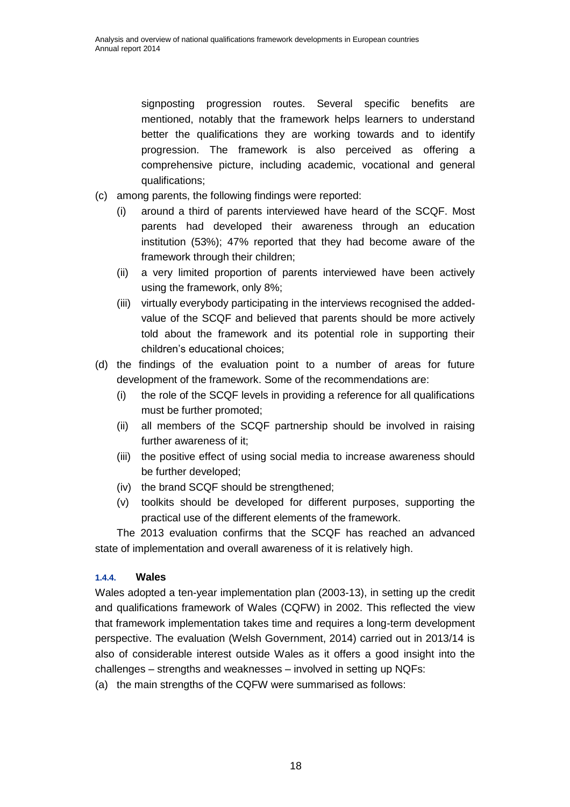signposting progression routes. Several specific benefits are mentioned, notably that the framework helps learners to understand better the qualifications they are working towards and to identify progression. The framework is also perceived as offering a comprehensive picture, including academic, vocational and general qualifications;

- (c) among parents, the following findings were reported:
	- (i) around a third of parents interviewed have heard of the SCQF. Most parents had developed their awareness through an education institution (53%); 47% reported that they had become aware of the framework through their children;
	- (ii) a very limited proportion of parents interviewed have been actively using the framework, only 8%;
	- (iii) virtually everybody participating in the interviews recognised the addedvalue of the SCQF and believed that parents should be more actively told about the framework and its potential role in supporting their children's educational choices;
- (d) the findings of the evaluation point to a number of areas for future development of the framework. Some of the recommendations are:
	- (i) the role of the SCQF levels in providing a reference for all qualifications must be further promoted;
	- (ii) all members of the SCQF partnership should be involved in raising further awareness of it;
	- (iii) the positive effect of using social media to increase awareness should be further developed;
	- (iv) the brand SCQF should be strengthened;
	- (v) toolkits should be developed for different purposes, supporting the practical use of the different elements of the framework.

The 2013 evaluation confirms that the SCQF has reached an advanced state of implementation and overall awareness of it is relatively high.

#### <span id="page-23-0"></span>**1.4.4. Wales**

Wales adopted a ten-year implementation plan (2003-13), in setting up the credit and qualifications framework of Wales (CQFW) in 2002. This reflected the view that framework implementation takes time and requires a long-term development perspective. The evaluation (Welsh Government, 2014) carried out in 2013/14 is also of considerable interest outside Wales as it offers a good insight into the challenges – strengths and weaknesses – involved in setting up NQFs:

(a) the main strengths of the CQFW were summarised as follows: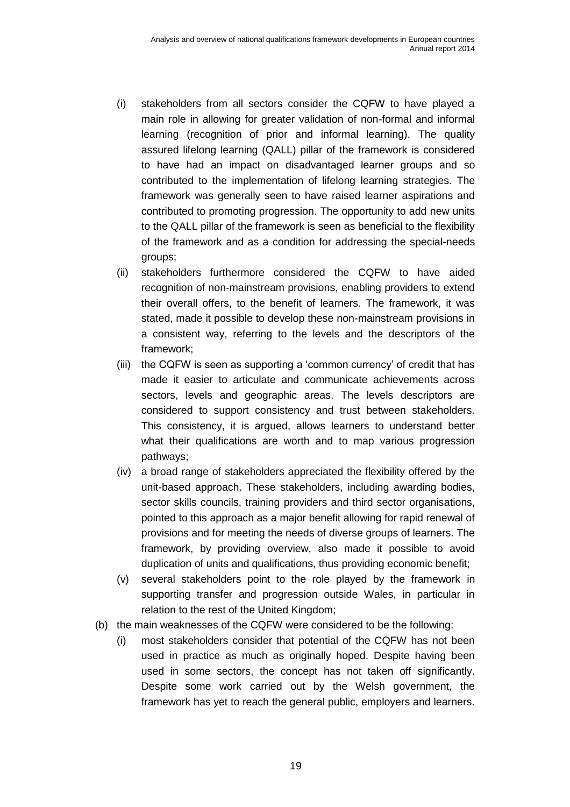- (i) stakeholders from all sectors consider the CQFW to have played a main role in allowing for greater validation of non-formal and informal learning (recognition of prior and informal learning). The quality assured lifelong learning (QALL) pillar of the framework is considered to have had an impact on disadvantaged learner groups and so contributed to the implementation of lifelong learning strategies. The framework was generally seen to have raised learner aspirations and contributed to promoting progression. The opportunity to add new units to the QALL pillar of the framework is seen as beneficial to the flexibility of the framework and as a condition for addressing the special-needs groups;
- (ii) stakeholders furthermore considered the CQFW to have aided recognition of non-mainstream provisions, enabling providers to extend their overall offers, to the benefit of learners. The framework, it was stated, made it possible to develop these non-mainstream provisions in a consistent way, referring to the levels and the descriptors of the framework;
- (iii) the CQFW is seen as supporting a 'common currency' of credit that has made it easier to articulate and communicate achievements across sectors, levels and geographic areas. The levels descriptors are considered to support consistency and trust between stakeholders. This consistency, it is argued, allows learners to understand better what their qualifications are worth and to map various progression pathways;
- (iv) a broad range of stakeholders appreciated the flexibility offered by the unit-based approach. These stakeholders, including awarding bodies, sector skills councils, training providers and third sector organisations, pointed to this approach as a major benefit allowing for rapid renewal of provisions and for meeting the needs of diverse groups of learners. The framework, by providing overview, also made it possible to avoid duplication of units and qualifications, thus providing economic benefit;
- (v) several stakeholders point to the role played by the framework in supporting transfer and progression outside Wales, in particular in relation to the rest of the United Kingdom;
- (b) the main weaknesses of the CQFW were considered to be the following:
	- (i) most stakeholders consider that potential of the CQFW has not been used in practice as much as originally hoped. Despite having been used in some sectors, the concept has not taken off significantly. Despite some work carried out by the Welsh government, the framework has yet to reach the general public, employers and learners.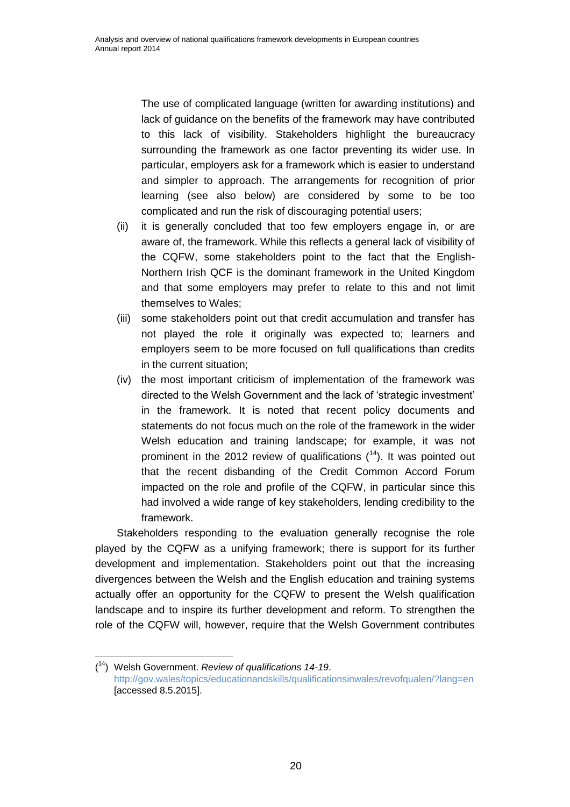The use of complicated language (written for awarding institutions) and lack of guidance on the benefits of the framework may have contributed to this lack of visibility. Stakeholders highlight the bureaucracy surrounding the framework as one factor preventing its wider use. In particular, employers ask for a framework which is easier to understand and simpler to approach. The arrangements for recognition of prior learning (see also below) are considered by some to be too complicated and run the risk of discouraging potential users;

- (ii) it is generally concluded that too few employers engage in, or are aware of, the framework. While this reflects a general lack of visibility of the CQFW, some stakeholders point to the fact that the English-Northern Irish QCF is the dominant framework in the United Kingdom and that some employers may prefer to relate to this and not limit themselves to Wales;
- (iii) some stakeholders point out that credit accumulation and transfer has not played the role it originally was expected to; learners and employers seem to be more focused on full qualifications than credits in the current situation;
- (iv) the most important criticism of implementation of the framework was directed to the Welsh Government and the lack of 'strategic investment' in the framework. It is noted that recent policy documents and statements do not focus much on the role of the framework in the wider Welsh education and training landscape; for example, it was not prominent in the 2012 review of qualifications  $(14)$ . It was pointed out that the recent disbanding of the Credit Common Accord Forum impacted on the role and profile of the CQFW, in particular since this had involved a wide range of key stakeholders, lending credibility to the framework.

Stakeholders responding to the evaluation generally recognise the role played by the CQFW as a unifying framework; there is support for its further development and implementation. Stakeholders point out that the increasing divergences between the Welsh and the English education and training systems actually offer an opportunity for the CQFW to present the Welsh qualification landscape and to inspire its further development and reform. To strengthen the role of the CQFW will, however, require that the Welsh Government contributes

<sup>(</sup> <sup>14</sup>) Welsh Government. *Review of qualifications 14-19*. <http://gov.wales/topics/educationandskills/qualificationsinwales/revofqualen/?lang=en> [accessed 8.5.2015].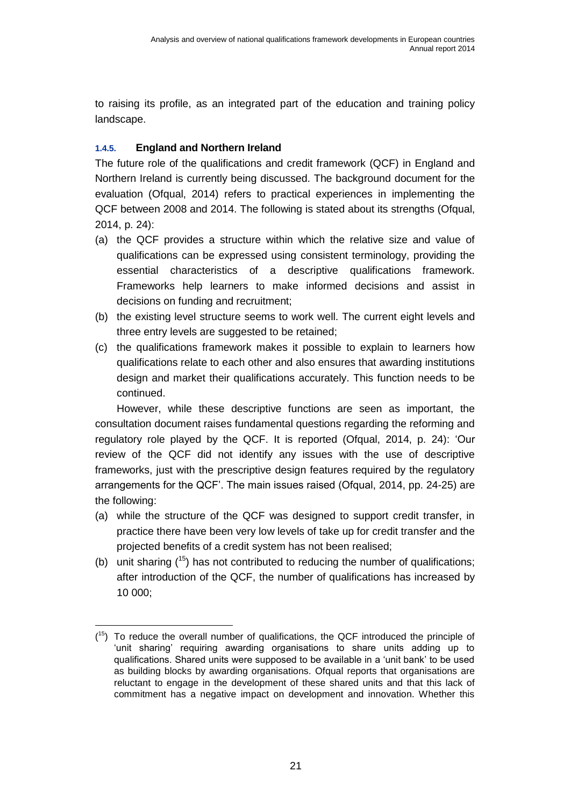to raising its profile, as an integrated part of the education and training policy landscape.

#### <span id="page-26-0"></span>**1.4.5. England and Northern Ireland**

 $\overline{a}$ 

The future role of the qualifications and credit framework (QCF) in England and Northern Ireland is currently being discussed. The background document for the evaluation (Ofqual, 2014) refers to practical experiences in implementing the QCF between 2008 and 2014. The following is stated about its strengths (Ofqual, 2014, p. 24):

- (a) the QCF provides a structure within which the relative size and value of qualifications can be expressed using consistent terminology, providing the essential characteristics of a descriptive qualifications framework. Frameworks help learners to make informed decisions and assist in decisions on funding and recruitment;
- (b) the existing level structure seems to work well. The current eight levels and three entry levels are suggested to be retained;
- (c) the qualifications framework makes it possible to explain to learners how qualifications relate to each other and also ensures that awarding institutions design and market their qualifications accurately. This function needs to be continued.

However, while these descriptive functions are seen as important, the consultation document raises fundamental questions regarding the reforming and regulatory role played by the QCF. It is reported (Ofqual, 2014, p. 24): 'Our review of the QCF did not identify any issues with the use of descriptive frameworks, just with the prescriptive design features required by the regulatory arrangements for the QCF'. The main issues raised (Ofqual, 2014, pp. 24-25) are the following:

- (a) while the structure of the QCF was designed to support credit transfer, in practice there have been very low levels of take up for credit transfer and the projected benefits of a credit system has not been realised;
- (b) unit sharing  $(15)$  has not contributed to reducing the number of qualifications; after introduction of the QCF, the number of qualifications has increased by 10 000;

 $(15)$  To reduce the overall number of qualifications, the QCF introduced the principle of 'unit sharing' requiring awarding organisations to share units adding up to qualifications. Shared units were supposed to be available in a 'unit bank' to be used as building blocks by awarding organisations. Ofqual reports that organisations are reluctant to engage in the development of these shared units and that this lack of commitment has a negative impact on development and innovation. Whether this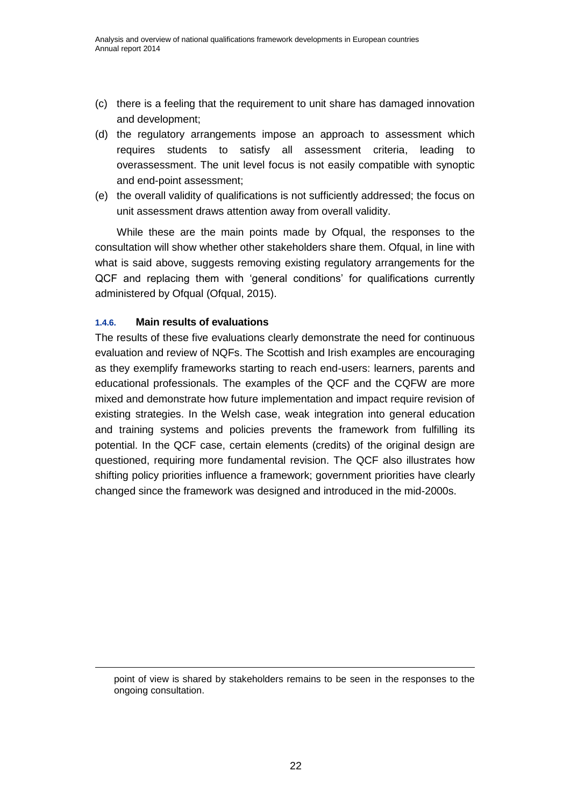- (c) there is a feeling that the requirement to unit share has damaged innovation and development;
- (d) the regulatory arrangements impose an approach to assessment which requires students to satisfy all assessment criteria, leading to overassessment. The unit level focus is not easily compatible with synoptic and end-point assessment;
- (e) the overall validity of qualifications is not sufficiently addressed; the focus on unit assessment draws attention away from overall validity.

While these are the main points made by Ofqual, the responses to the consultation will show whether other stakeholders share them. Ofqual, in line with what is said above, suggests removing existing regulatory arrangements for the QCF and replacing them with 'general conditions' for qualifications currently administered by Ofqual (Ofqual, 2015).

#### <span id="page-27-0"></span>**1.4.6. Main results of evaluations**

1

The results of these five evaluations clearly demonstrate the need for continuous evaluation and review of NQFs. The Scottish and Irish examples are encouraging as they exemplify frameworks starting to reach end-users: learners, parents and educational professionals. The examples of the QCF and the CQFW are more mixed and demonstrate how future implementation and impact require revision of existing strategies. In the Welsh case, weak integration into general education and training systems and policies prevents the framework from fulfilling its potential. In the QCF case, certain elements (credits) of the original design are questioned, requiring more fundamental revision. The QCF also illustrates how shifting policy priorities influence a framework; government priorities have clearly changed since the framework was designed and introduced in the mid-2000s.

point of view is shared by stakeholders remains to be seen in the responses to the ongoing consultation.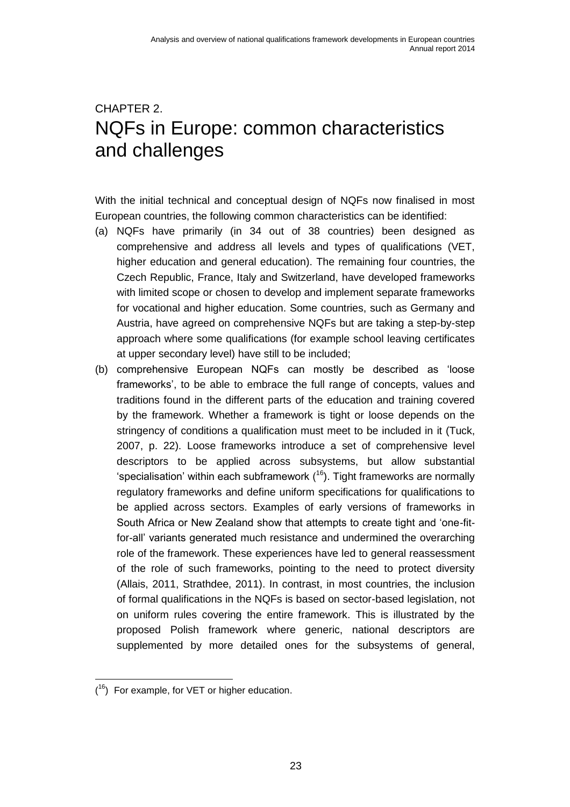## <span id="page-28-0"></span>CHAPTER 2. NQFs in Europe: common characteristics and challenges

With the initial technical and conceptual design of NQFs now finalised in most European countries, the following common characteristics can be identified:

- (a) NQFs have primarily (in 34 out of 38 countries) been designed as comprehensive and address all levels and types of qualifications (VET, higher education and general education). The remaining four countries, the Czech Republic, France, Italy and Switzerland, have developed frameworks with limited scope or chosen to develop and implement separate frameworks for vocational and higher education. Some countries, such as Germany and Austria, have agreed on comprehensive NQFs but are taking a step-by-step approach where some qualifications (for example school leaving certificates at upper secondary level) have still to be included;
- (b) comprehensive European NQFs can mostly be described as 'loose frameworks', to be able to embrace the full range of concepts, values and traditions found in the different parts of the education and training covered by the framework. Whether a framework is tight or loose depends on the stringency of conditions a qualification must meet to be included in it (Tuck, 2007, p. 22). Loose frameworks introduce a set of comprehensive level descriptors to be applied across subsystems, but allow substantial 'specialisation' within each subframework  $(16)$ . Tight frameworks are normally regulatory frameworks and define uniform specifications for qualifications to be applied across sectors. Examples of early versions of frameworks in South Africa or New Zealand show that attempts to create tight and 'one-fitfor-all' variants generated much resistance and undermined the overarching role of the framework. These experiences have led to general reassessment of the role of such frameworks, pointing to the need to protect diversity (Allais, 2011, Strathdee, 2011). In contrast, in most countries, the inclusion of formal qualifications in the NQFs is based on sector-based legislation, not on uniform rules covering the entire framework. This is illustrated by the proposed Polish framework where generic, national descriptors are supplemented by more detailed ones for the subsystems of general,

  $(16)$  For example, for VET or higher education.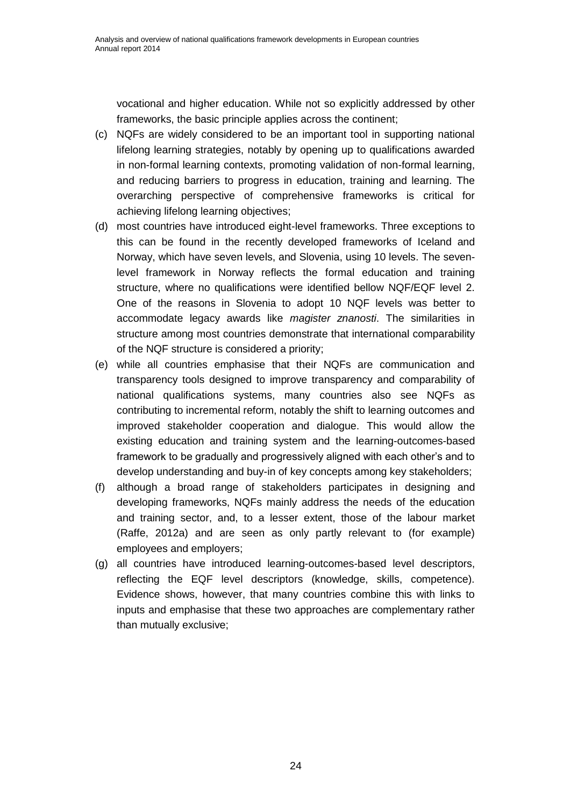vocational and higher education. While not so explicitly addressed by other frameworks, the basic principle applies across the continent;

- (c) NQFs are widely considered to be an important tool in supporting national lifelong learning strategies, notably by opening up to qualifications awarded in non-formal learning contexts, promoting validation of non-formal learning, and reducing barriers to progress in education, training and learning. The overarching perspective of comprehensive frameworks is critical for achieving lifelong learning objectives;
- (d) most countries have introduced eight-level frameworks. Three exceptions to this can be found in the recently developed frameworks of Iceland and Norway, which have seven levels, and Slovenia, using 10 levels. The sevenlevel framework in Norway reflects the formal education and training structure, where no qualifications were identified bellow NQF/EQF level 2. One of the reasons in Slovenia to adopt 10 NQF levels was better to accommodate legacy awards like *magister znanosti*. The similarities in structure among most countries demonstrate that international comparability of the NQF structure is considered a priority;
- (e) while all countries emphasise that their NQFs are communication and transparency tools designed to improve transparency and comparability of national qualifications systems, many countries also see NQFs as contributing to incremental reform, notably the shift to learning outcomes and improved stakeholder cooperation and dialogue. This would allow the existing education and training system and the learning-outcomes-based framework to be gradually and progressively aligned with each other's and to develop understanding and buy-in of key concepts among key stakeholders;
- (f) although a broad range of stakeholders participates in designing and developing frameworks, NQFs mainly address the needs of the education and training sector, and, to a lesser extent, those of the labour market (Raffe, 2012a) and are seen as only partly relevant to (for example) employees and employers;
- (g) all countries have introduced learning-outcomes-based level descriptors, reflecting the EQF level descriptors (knowledge, skills, competence). Evidence shows, however, that many countries combine this with links to inputs and emphasise that these two approaches are complementary rather than mutually exclusive;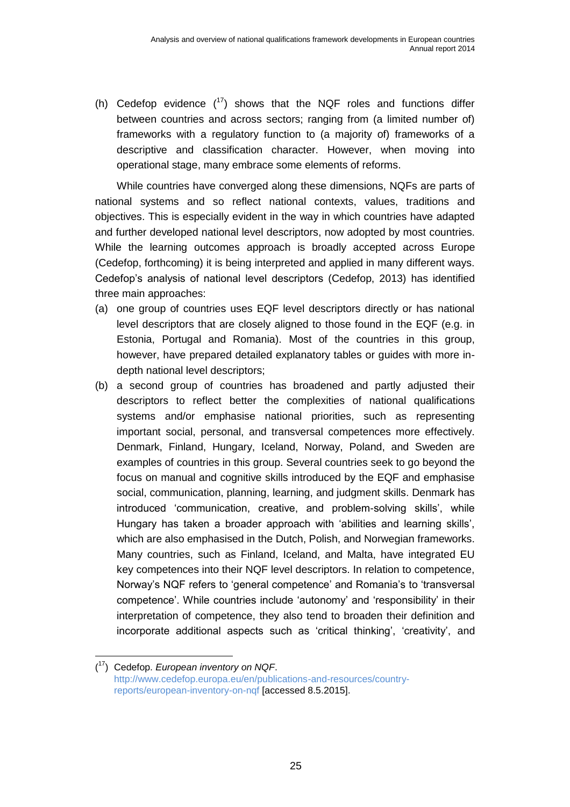(h) Cedefop evidence  $(17)$  shows that the NQF roles and functions differ between countries and across sectors; ranging from (a limited number of) frameworks with a regulatory function to (a majority of) frameworks of a descriptive and classification character. However, when moving into operational stage, many embrace some elements of reforms.

While countries have converged along these dimensions, NQFs are parts of national systems and so reflect national contexts, values, traditions and objectives. This is especially evident in the way in which countries have adapted and further developed national level descriptors, now adopted by most countries. While the learning outcomes approach is broadly accepted across Europe (Cedefop, forthcoming) it is being interpreted and applied in many different ways. Cedefop's analysis of national level descriptors (Cedefop, 2013) has identified three main approaches:

- (a) one group of countries uses EQF level descriptors directly or has national level descriptors that are closely aligned to those found in the EQF (e.g. in Estonia, Portugal and Romania). Most of the countries in this group, however, have prepared detailed explanatory tables or guides with more indepth national level descriptors;
- (b) a second group of countries has broadened and partly adjusted their descriptors to reflect better the complexities of national qualifications systems and/or emphasise national priorities, such as representing important social, personal, and transversal competences more effectively. Denmark, Finland, Hungary, Iceland, Norway, Poland, and Sweden are examples of countries in this group. Several countries seek to go beyond the focus on manual and cognitive skills introduced by the EQF and emphasise social, communication, planning, learning, and judgment skills. Denmark has introduced 'communication, creative, and problem-solving skills', while Hungary has taken a broader approach with 'abilities and learning skills', which are also emphasised in the Dutch, Polish, and Norwegian frameworks. Many countries, such as Finland, Iceland, and Malta, have integrated EU key competences into their NQF level descriptors. In relation to competence, Norway's NQF refers to 'general competence' and Romania's to 'transversal competence'. While countries include 'autonomy' and 'responsibility' in their interpretation of competence, they also tend to broaden their definition and incorporate additional aspects such as 'critical thinking', 'creativity', and

<sup>(</sup> <sup>17</sup>) Cedefop. *European inventory on NQF*. [http://www.cedefop.europa.eu/en/publications-and-resources/country](http://www.cedefop.europa.eu/en/publications-and-resources/country-reports/european-inventory-on-nqf)[reports/european-inventory-on-nqf](http://www.cedefop.europa.eu/en/publications-and-resources/country-reports/european-inventory-on-nqf) [accessed 8.5.2015].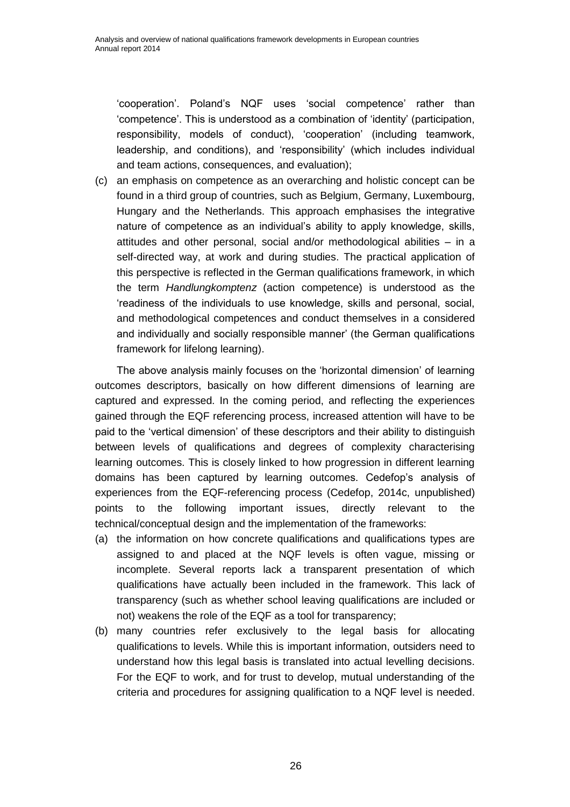'cooperation'. Poland's NQF uses 'social competence' rather than 'competence'. This is understood as a combination of 'identity' (participation, responsibility, models of conduct), 'cooperation' (including teamwork, leadership, and conditions), and 'responsibility' (which includes individual and team actions, consequences, and evaluation);

(c) an emphasis on competence as an overarching and holistic concept can be found in a third group of countries, such as Belgium, Germany, Luxembourg, Hungary and the Netherlands. This approach emphasises the integrative nature of competence as an individual's ability to apply knowledge, skills, attitudes and other personal, social and/or methodological abilities – in a self-directed way, at work and during studies. The practical application of this perspective is reflected in the German qualifications framework, in which the term *Handlungkomptenz* (action competence) is understood as the 'readiness of the individuals to use knowledge, skills and personal, social, and methodological competences and conduct themselves in a considered and individually and socially responsible manner' (the German qualifications framework for lifelong learning).

The above analysis mainly focuses on the 'horizontal dimension' of learning outcomes descriptors, basically on how different dimensions of learning are captured and expressed. In the coming period, and reflecting the experiences gained through the EQF referencing process, increased attention will have to be paid to the 'vertical dimension' of these descriptors and their ability to distinguish between levels of qualifications and degrees of complexity characterising learning outcomes. This is closely linked to how progression in different learning domains has been captured by learning outcomes. Cedefop's analysis of experiences from the EQF-referencing process (Cedefop, 2014c, unpublished) points to the following important issues, directly relevant to the technical/conceptual design and the implementation of the frameworks:

- (a) the information on how concrete qualifications and qualifications types are assigned to and placed at the NQF levels is often vague, missing or incomplete. Several reports lack a transparent presentation of which qualifications have actually been included in the framework. This lack of transparency (such as whether school leaving qualifications are included or not) weakens the role of the EQF as a tool for transparency;
- (b) many countries refer exclusively to the legal basis for allocating qualifications to levels. While this is important information, outsiders need to understand how this legal basis is translated into actual levelling decisions. For the EQF to work, and for trust to develop, mutual understanding of the criteria and procedures for assigning qualification to a NQF level is needed.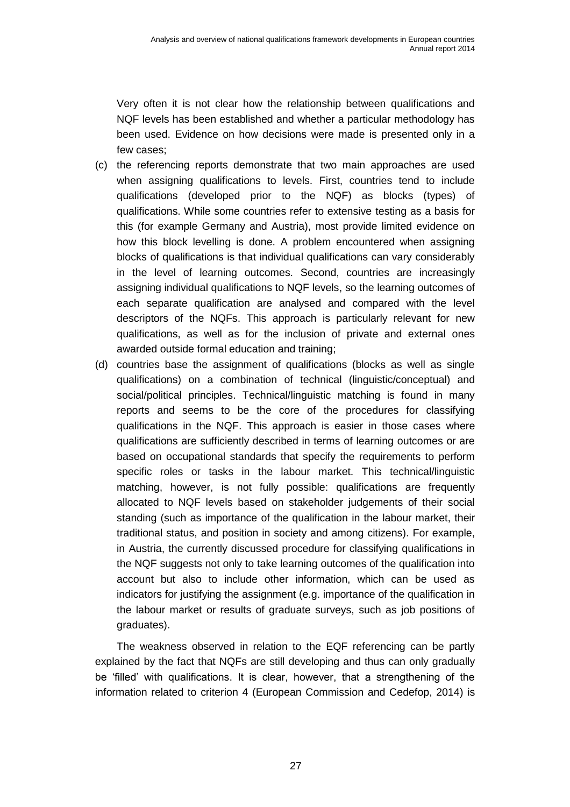Very often it is not clear how the relationship between qualifications and NQF levels has been established and whether a particular methodology has been used. Evidence on how decisions were made is presented only in a few cases;

- (c) the referencing reports demonstrate that two main approaches are used when assigning qualifications to levels. First, countries tend to include qualifications (developed prior to the NQF) as blocks (types) of qualifications. While some countries refer to extensive testing as a basis for this (for example Germany and Austria), most provide limited evidence on how this block levelling is done. A problem encountered when assigning blocks of qualifications is that individual qualifications can vary considerably in the level of learning outcomes. Second, countries are increasingly assigning individual qualifications to NQF levels, so the learning outcomes of each separate qualification are analysed and compared with the level descriptors of the NQFs. This approach is particularly relevant for new qualifications, as well as for the inclusion of private and external ones awarded outside formal education and training;
- (d) countries base the assignment of qualifications (blocks as well as single qualifications) on a combination of technical (linguistic/conceptual) and social/political principles. Technical/linguistic matching is found in many reports and seems to be the core of the procedures for classifying qualifications in the NQF. This approach is easier in those cases where qualifications are sufficiently described in terms of learning outcomes or are based on occupational standards that specify the requirements to perform specific roles or tasks in the labour market. This technical/linguistic matching, however, is not fully possible: qualifications are frequently allocated to NQF levels based on stakeholder judgements of their social standing (such as importance of the qualification in the labour market, their traditional status, and position in society and among citizens). For example, in Austria, the currently discussed procedure for classifying qualifications in the NQF suggests not only to take learning outcomes of the qualification into account but also to include other information, which can be used as indicators for justifying the assignment (e.g. importance of the qualification in the labour market or results of graduate surveys, such as job positions of graduates).

The weakness observed in relation to the EQF referencing can be partly explained by the fact that NQFs are still developing and thus can only gradually be 'filled' with qualifications. It is clear, however, that a strengthening of the information related to criterion 4 (European Commission and Cedefop, 2014) is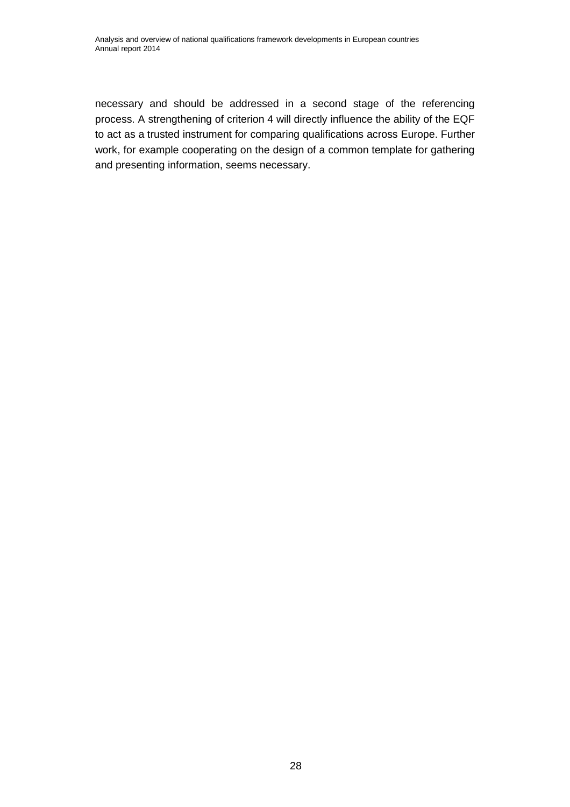necessary and should be addressed in a second stage of the referencing process. A strengthening of criterion 4 will directly influence the ability of the EQF to act as a trusted instrument for comparing qualifications across Europe. Further work, for example cooperating on the design of a common template for gathering and presenting information, seems necessary.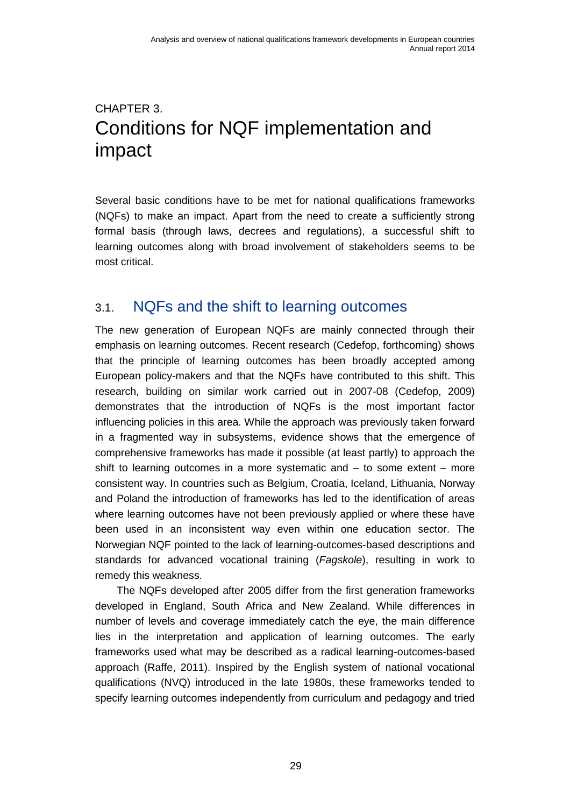## <span id="page-34-0"></span>CHAPTER 3. Conditions for NQF implementation and impact

Several basic conditions have to be met for national qualifications frameworks (NQFs) to make an impact. Apart from the need to create a sufficiently strong formal basis (through laws, decrees and regulations), a successful shift to learning outcomes along with broad involvement of stakeholders seems to be most critical.

### <span id="page-34-1"></span>3.1. NQFs and the shift to learning outcomes

The new generation of European NQFs are mainly connected through their emphasis on learning outcomes. Recent research (Cedefop, forthcoming) shows that the principle of learning outcomes has been broadly accepted among European policy-makers and that the NQFs have contributed to this shift. This research, building on similar work carried out in 2007-08 (Cedefop, 2009) demonstrates that the introduction of NQFs is the most important factor influencing policies in this area. While the approach was previously taken forward in a fragmented way in subsystems, evidence shows that the emergence of comprehensive frameworks has made it possible (at least partly) to approach the shift to learning outcomes in a more systematic and – to some extent – more consistent way. In countries such as Belgium, Croatia, Iceland, Lithuania, Norway and Poland the introduction of frameworks has led to the identification of areas where learning outcomes have not been previously applied or where these have been used in an inconsistent way even within one education sector. The Norwegian NQF pointed to the lack of learning-outcomes-based descriptions and standards for advanced vocational training (*Fagskole*), resulting in work to remedy this weakness.

The NQFs developed after 2005 differ from the first generation frameworks developed in England, South Africa and New Zealand. While differences in number of levels and coverage immediately catch the eye, the main difference lies in the interpretation and application of learning outcomes. The early frameworks used what may be described as a radical learning-outcomes-based approach (Raffe, 2011). Inspired by the English system of national vocational qualifications (NVQ) introduced in the late 1980s, these frameworks tended to specify learning outcomes independently from curriculum and pedagogy and tried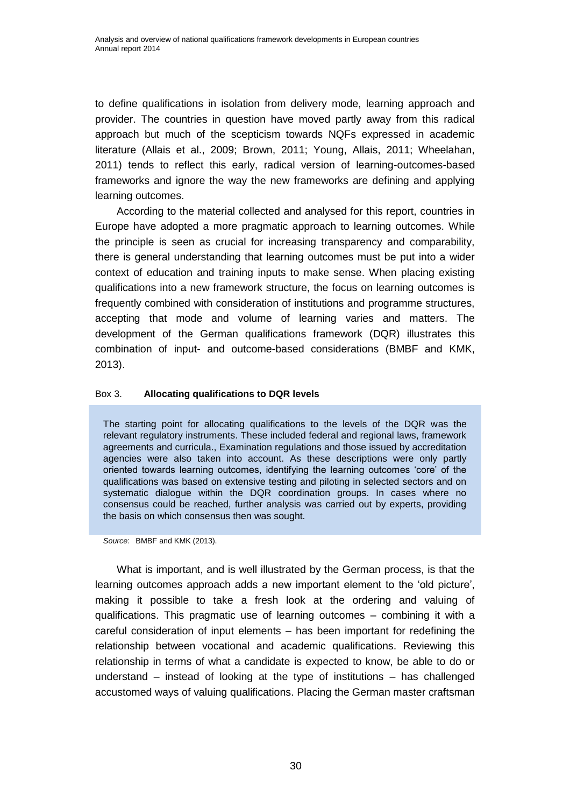to define qualifications in isolation from delivery mode, learning approach and provider. The countries in question have moved partly away from this radical approach but much of the scepticism towards NQFs expressed in academic literature (Allais et al., 2009; Brown, 2011; Young, Allais, 2011; Wheelahan, 2011) tends to reflect this early, radical version of learning-outcomes-based frameworks and ignore the way the new frameworks are defining and applying learning outcomes.

According to the material collected and analysed for this report, countries in Europe have adopted a more pragmatic approach to learning outcomes. While the principle is seen as crucial for increasing transparency and comparability, there is general understanding that learning outcomes must be put into a wider context of education and training inputs to make sense. When placing existing qualifications into a new framework structure, the focus on learning outcomes is frequently combined with consideration of institutions and programme structures, accepting that mode and volume of learning varies and matters. The development of the German qualifications framework (DQR) illustrates this combination of input- and outcome-based considerations (BMBF and KMK, 2013).

#### <span id="page-35-0"></span>Box 3. **Allocating qualifications to DQR levels**

The starting point for allocating qualifications to the levels of the DQR was the relevant regulatory instruments. These included federal and regional laws, framework agreements and curricula., Examination regulations and those issued by accreditation agencies were also taken into account. As these descriptions were only partly oriented towards learning outcomes, identifying the learning outcomes 'core' of the qualifications was based on extensive testing and piloting in selected sectors and on systematic dialogue within the DQR coordination groups. In cases where no consensus could be reached, further analysis was carried out by experts, providing the basis on which consensus then was sought.

*Source*: BMBF and KMK (2013).

What is important, and is well illustrated by the German process, is that the learning outcomes approach adds a new important element to the 'old picture', making it possible to take a fresh look at the ordering and valuing of qualifications. This pragmatic use of learning outcomes – combining it with a careful consideration of input elements – has been important for redefining the relationship between vocational and academic qualifications. Reviewing this relationship in terms of what a candidate is expected to know, be able to do or understand – instead of looking at the type of institutions – has challenged accustomed ways of valuing qualifications. Placing the German master craftsman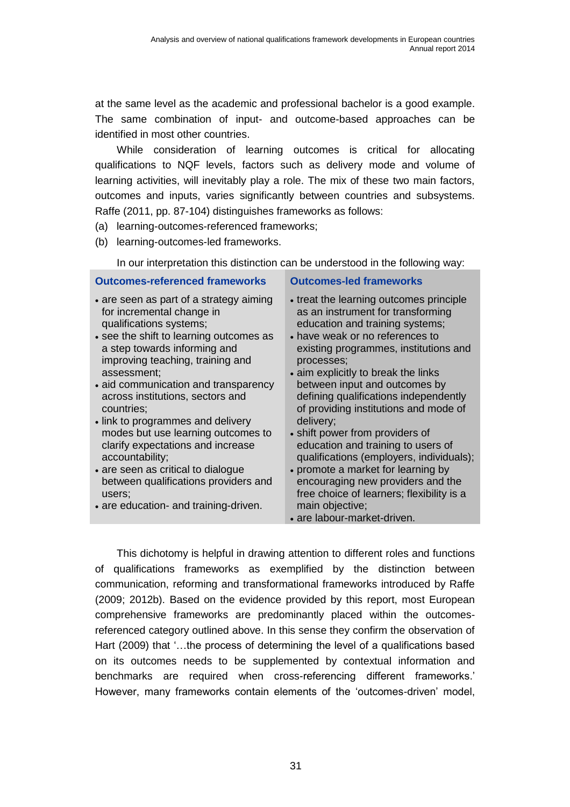at the same level as the academic and professional bachelor is a good example. The same combination of input- and outcome-based approaches can be identified in most other countries.

While consideration of learning outcomes is critical for allocating qualifications to NQF levels, factors such as delivery mode and volume of learning activities, will inevitably play a role. The mix of these two main factors, outcomes and inputs, varies significantly between countries and subsystems. Raffe (2011, pp. 87-104) distinguishes frameworks as follows:

- (a) learning-outcomes-referenced frameworks;
- (b) learning-outcomes-led frameworks.

In our interpretation this distinction can be understood in the following way:

#### **Outcomes-referenced frameworks Outcomes-led frameworks**

- are seen as part of a strategy aiming for incremental change in qualifications systems;
- see the shift to learning outcomes as a step towards informing and improving teaching, training and assessment;
- aid communication and transparency across institutions, sectors and countries;
- link to programmes and delivery modes but use learning outcomes to clarify expectations and increase accountability;
- are seen as critical to dialogue between qualifications providers and users;
- are education- and training-driven.

- treat the learning outcomes principle as an instrument for transforming education and training systems;
- have weak or no references to existing programmes, institutions and processes;
- aim explicitly to break the links between input and outcomes by defining qualifications independently of providing institutions and mode of delivery;
- shift power from providers of education and training to users of qualifications (employers, individuals);
- promote a market for learning by encouraging new providers and the free choice of learners; flexibility is a main objective:
- are labour-market-driven.

This dichotomy is helpful in drawing attention to different roles and functions of qualifications frameworks as exemplified by the distinction between communication, reforming and transformational frameworks introduced by Raffe (2009; 2012b). Based on the evidence provided by this report, most European comprehensive frameworks are predominantly placed within the outcomesreferenced category outlined above. In this sense they confirm the observation of Hart (2009) that '…the process of determining the level of a qualifications based on its outcomes needs to be supplemented by contextual information and benchmarks are required when cross-referencing different frameworks.' However, many frameworks contain elements of the 'outcomes-driven' model,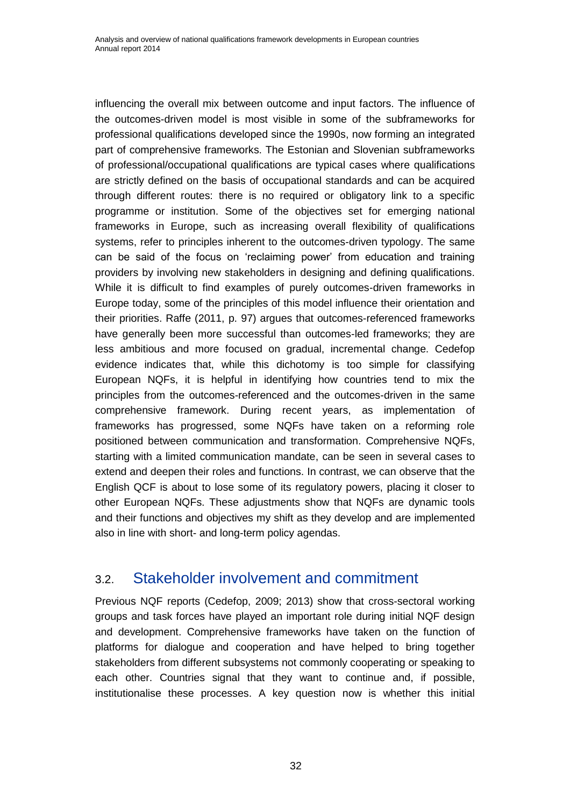influencing the overall mix between outcome and input factors. The influence of the outcomes-driven model is most visible in some of the subframeworks for professional qualifications developed since the 1990s, now forming an integrated part of comprehensive frameworks. The Estonian and Slovenian subframeworks of professional/occupational qualifications are typical cases where qualifications are strictly defined on the basis of occupational standards and can be acquired through different routes: there is no required or obligatory link to a specific programme or institution. Some of the objectives set for emerging national frameworks in Europe, such as increasing overall flexibility of qualifications systems, refer to principles inherent to the outcomes-driven typology. The same can be said of the focus on 'reclaiming power' from education and training providers by involving new stakeholders in designing and defining qualifications. While it is difficult to find examples of purely outcomes-driven frameworks in Europe today, some of the principles of this model influence their orientation and their priorities. Raffe (2011, p. 97) argues that outcomes-referenced frameworks have generally been more successful than outcomes-led frameworks; they are less ambitious and more focused on gradual, incremental change. Cedefop evidence indicates that, while this dichotomy is too simple for classifying European NQFs, it is helpful in identifying how countries tend to mix the principles from the outcomes-referenced and the outcomes-driven in the same comprehensive framework. During recent years, as implementation of frameworks has progressed, some NQFs have taken on a reforming role positioned between communication and transformation. Comprehensive NQFs, starting with a limited communication mandate, can be seen in several cases to extend and deepen their roles and functions. In contrast, we can observe that the English QCF is about to lose some of its regulatory powers, placing it closer to other European NQFs. These adjustments show that NQFs are dynamic tools and their functions and objectives my shift as they develop and are implemented also in line with short- and long-term policy agendas.

### <span id="page-37-0"></span>3.2. Stakeholder involvement and commitment

Previous NQF reports (Cedefop, 2009; 2013) show that cross-sectoral working groups and task forces have played an important role during initial NQF design and development. Comprehensive frameworks have taken on the function of platforms for dialogue and cooperation and have helped to bring together stakeholders from different subsystems not commonly cooperating or speaking to each other. Countries signal that they want to continue and, if possible, institutionalise these processes. A key question now is whether this initial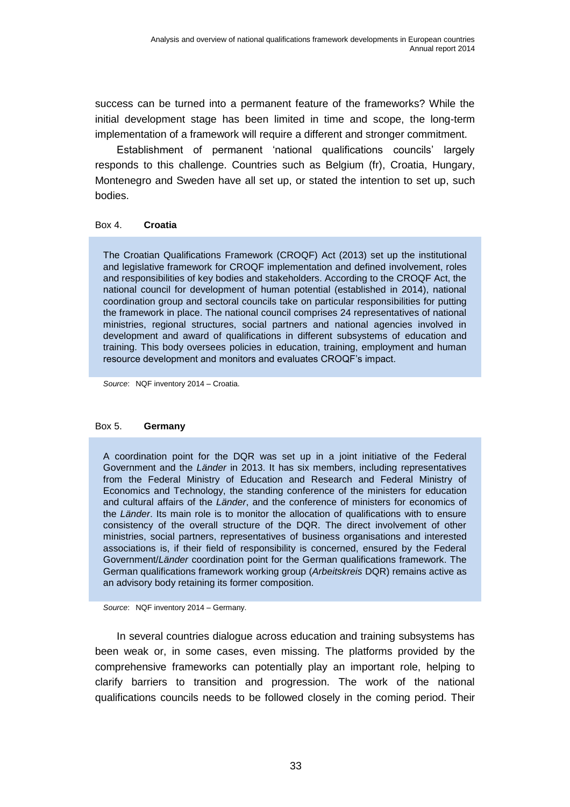success can be turned into a permanent feature of the frameworks? While the initial development stage has been limited in time and scope, the long-term implementation of a framework will require a different and stronger commitment.

Establishment of permanent 'national qualifications councils' largely responds to this challenge. Countries such as Belgium (fr), Croatia, Hungary, Montenegro and Sweden have all set up, or stated the intention to set up, such bodies.

#### <span id="page-38-0"></span>Box 4. **Croatia**

The Croatian Qualifications Framework (CROQF) Act (2013) set up the institutional and legislative framework for CROQF implementation and defined involvement, roles and responsibilities of key bodies and stakeholders. According to the CROQF Act, the national council for development of human potential (established in 2014), national coordination group and sectoral councils take on particular responsibilities for putting the framework in place. The national council comprises 24 representatives of national ministries, regional structures, social partners and national agencies involved in development and award of qualifications in different subsystems of education and training. This body oversees policies in education, training, employment and human resource development and monitors and evaluates CROQF's impact.

*Source*: NQF inventory 2014 – Croatia.

#### <span id="page-38-1"></span>Box 5. **Germany**

A coordination point for the DQR was set up in a joint initiative of the Federal Government and the *Länder* in 2013. It has six members, including representatives from the Federal Ministry of Education and Research and Federal Ministry of Economics and Technology, the standing conference of the ministers for education and cultural affairs of the *Länder*, and the conference of ministers for economics of the *Länder*. Its main role is to monitor the allocation of qualifications with to ensure consistency of the overall structure of the DQR. The direct involvement of other ministries, social partners, representatives of business organisations and interested associations is, if their field of responsibility is concerned, ensured by the Federal Government/*Länder* coordination point for the German qualifications framework. The German qualifications framework working group (*Arbeitskreis* DQR) remains active as an advisory body retaining its former composition.

*Source*: NQF inventory 2014 – Germany.

In several countries dialogue across education and training subsystems has been weak or, in some cases, even missing. The platforms provided by the comprehensive frameworks can potentially play an important role, helping to clarify barriers to transition and progression. The work of the national qualifications councils needs to be followed closely in the coming period. Their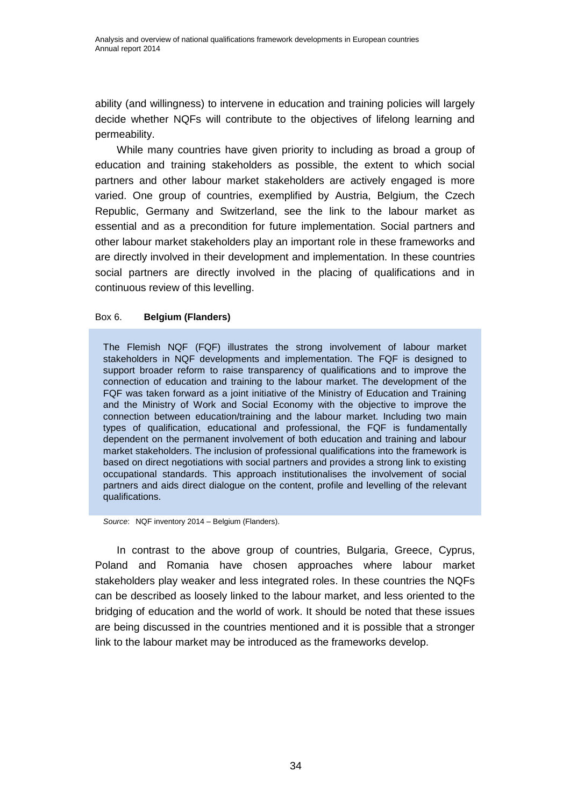ability (and willingness) to intervene in education and training policies will largely decide whether NQFs will contribute to the objectives of lifelong learning and permeability.

While many countries have given priority to including as broad a group of education and training stakeholders as possible, the extent to which social partners and other labour market stakeholders are actively engaged is more varied. One group of countries, exemplified by Austria, Belgium, the Czech Republic, Germany and Switzerland, see the link to the labour market as essential and as a precondition for future implementation. Social partners and other labour market stakeholders play an important role in these frameworks and are directly involved in their development and implementation. In these countries social partners are directly involved in the placing of qualifications and in continuous review of this levelling.

#### <span id="page-39-0"></span>Box 6. **Belgium (Flanders)**

The Flemish NQF (FQF) illustrates the strong involvement of labour market stakeholders in NQF developments and implementation. The FQF is designed to support broader reform to raise transparency of qualifications and to improve the connection of education and training to the labour market. The development of the FQF was taken forward as a joint initiative of the Ministry of Education and Training and the Ministry of Work and Social Economy with the objective to improve the connection between education/training and the labour market. Including two main types of qualification, educational and professional, the FQF is fundamentally dependent on the permanent involvement of both education and training and labour market stakeholders. The inclusion of professional qualifications into the framework is based on direct negotiations with social partners and provides a strong link to existing occupational standards. This approach institutionalises the involvement of social partners and aids direct dialogue on the content, profile and levelling of the relevant qualifications.

*Source*: NQF inventory 2014 – Belgium (Flanders).

In contrast to the above group of countries, Bulgaria, Greece, Cyprus, Poland and Romania have chosen approaches where labour market stakeholders play weaker and less integrated roles. In these countries the NQFs can be described as loosely linked to the labour market, and less oriented to the bridging of education and the world of work. It should be noted that these issues are being discussed in the countries mentioned and it is possible that a stronger link to the labour market may be introduced as the frameworks develop.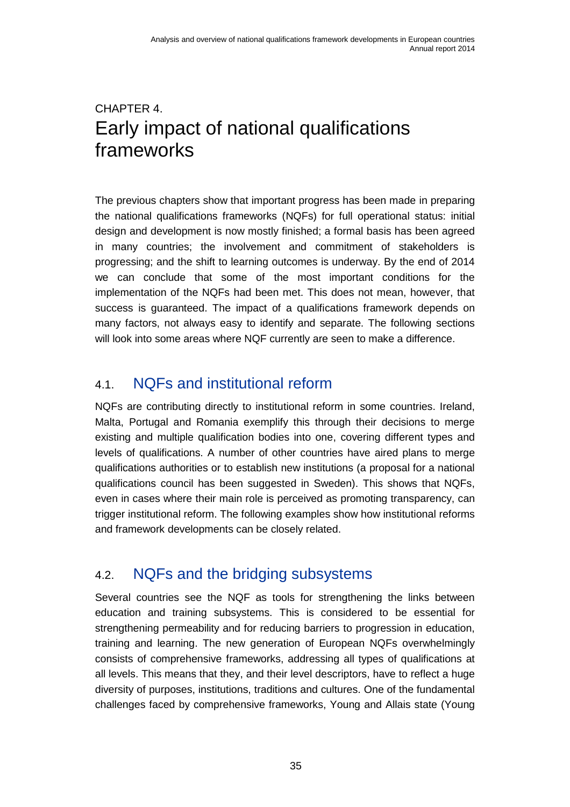## <span id="page-40-0"></span>CHAPTER 4. Early impact of national qualifications frameworks

The previous chapters show that important progress has been made in preparing the national qualifications frameworks (NQFs) for full operational status: initial design and development is now mostly finished; a formal basis has been agreed in many countries; the involvement and commitment of stakeholders is progressing; and the shift to learning outcomes is underway. By the end of 2014 we can conclude that some of the most important conditions for the implementation of the NQFs had been met. This does not mean, however, that success is guaranteed. The impact of a qualifications framework depends on many factors, not always easy to identify and separate. The following sections will look into some areas where NQF currently are seen to make a difference.

## <span id="page-40-1"></span>4.1. NQFs and institutional reform

NQFs are contributing directly to institutional reform in some countries. Ireland, Malta, Portugal and Romania exemplify this through their decisions to merge existing and multiple qualification bodies into one, covering different types and levels of qualifications. A number of other countries have aired plans to merge qualifications authorities or to establish new institutions (a proposal for a national qualifications council has been suggested in Sweden). This shows that NQFs, even in cases where their main role is perceived as promoting transparency, can trigger institutional reform. The following examples show how institutional reforms and framework developments can be closely related.

### <span id="page-40-2"></span>4.2. NQFs and the bridging subsystems

Several countries see the NQF as tools for strengthening the links between education and training subsystems. This is considered to be essential for strengthening permeability and for reducing barriers to progression in education, training and learning. The new generation of European NQFs overwhelmingly consists of comprehensive frameworks, addressing all types of qualifications at all levels. This means that they, and their level descriptors, have to reflect a huge diversity of purposes, institutions, traditions and cultures. One of the fundamental challenges faced by comprehensive frameworks, Young and Allais state (Young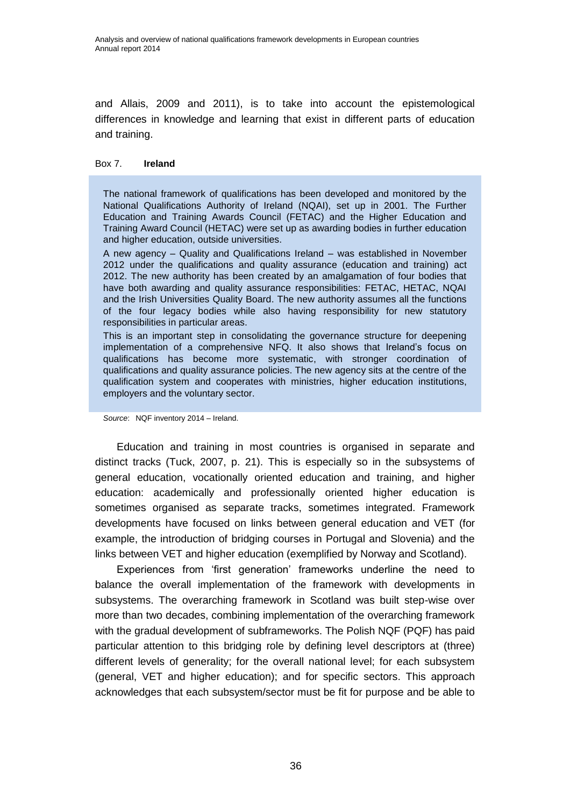and Allais, 2009 and 2011), is to take into account the epistemological differences in knowledge and learning that exist in different parts of education and training.

#### Box 7. **Ireland**

The national framework of qualifications has been developed and monitored by the National Qualifications Authority of Ireland (NQAI), set up in 2001. The Further Education and Training Awards Council (FETAC) and the Higher Education and Training Award Council (HETAC) were set up as awarding bodies in further education and higher education, outside universities.

A new agency – Quality and Qualifications Ireland – was established in November 2012 under the qualifications and quality assurance (education and training) act 2012. The new authority has been created by an amalgamation of four bodies that have both awarding and quality assurance responsibilities: FETAC, HETAC, NQAI and the Irish Universities Quality Board. The new authority assumes all the functions of the four legacy bodies while also having responsibility for new statutory responsibilities in particular areas.

This is an important step in consolidating the governance structure for deepening implementation of a comprehensive NFQ. It also shows that Ireland's focus on qualifications has become more systematic, with stronger coordination of qualifications and quality assurance policies. The new agency sits at the centre of the qualification system and cooperates with ministries, higher education institutions, employers and the voluntary sector.

*Source*: NQF inventory 2014 – Ireland.

<span id="page-41-0"></span>Education and training in most countries is organised in separate and distinct tracks (Tuck, 2007, p. 21). This is especially so in the subsystems of general education, vocationally oriented education and training, and higher education: academically and professionally oriented higher education is sometimes organised as separate tracks, sometimes integrated. Framework developments have focused on links between general education and VET (for example, the introduction of bridging courses in Portugal and Slovenia) and the links between VET and higher education (exemplified by Norway and Scotland).

Experiences from 'first generation' frameworks underline the need to balance the overall implementation of the framework with developments in subsystems. The overarching framework in Scotland was built step-wise over more than two decades, combining implementation of the overarching framework with the gradual development of subframeworks. The Polish NQF (PQF) has paid particular attention to this bridging role by defining level descriptors at (three) different levels of generality; for the overall national level; for each subsystem (general, VET and higher education); and for specific sectors. This approach acknowledges that each subsystem/sector must be fit for purpose and be able to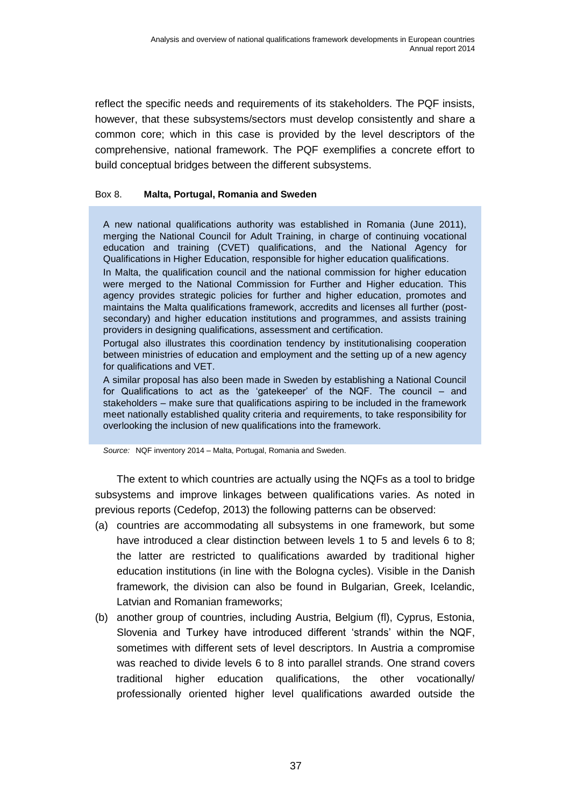reflect the specific needs and requirements of its stakeholders. The PQF insists, however, that these subsystems/sectors must develop consistently and share a common core; which in this case is provided by the level descriptors of the comprehensive, national framework. The PQF exemplifies a concrete effort to build conceptual bridges between the different subsystems.

#### Box 8. **Malta, Portugal, Romania and Sweden**

A new national qualifications authority was established in Romania (June 2011), merging the National Council for Adult Training, in charge of continuing vocational education and training (CVET) qualifications, and the National Agency for Qualifications in Higher Education, responsible for higher education qualifications.

In Malta, the qualification council and the national commission for higher education were merged to the National Commission for Further and Higher education. This agency provides strategic policies for further and higher education, promotes and maintains the Malta qualifications framework, accredits and licenses all further (postsecondary) and higher education institutions and programmes, and assists training providers in designing qualifications, assessment and certification.

Portugal also illustrates this coordination tendency by institutionalising cooperation between ministries of education and employment and the setting up of a new agency for qualifications and VET.

A similar proposal has also been made in Sweden by establishing a National Council for Qualifications to act as the 'gatekeeper' of the NQF. The council – and stakeholders – make sure that qualifications aspiring to be included in the framework meet nationally established quality criteria and requirements, to take responsibility for overlooking the inclusion of new qualifications into the framework.

*Source:* NQF inventory 2014 – Malta, Portugal, Romania and Sweden.

The extent to which countries are actually using the NQFs as a tool to bridge subsystems and improve linkages between qualifications varies. As noted in previous reports (Cedefop, 2013) the following patterns can be observed:

- (a) countries are accommodating all subsystems in one framework, but some have introduced a clear distinction between levels 1 to 5 and levels 6 to 8; the latter are restricted to qualifications awarded by traditional higher education institutions (in line with the Bologna cycles). Visible in the Danish framework, the division can also be found in Bulgarian, Greek, Icelandic, Latvian and Romanian frameworks;
- (b) another group of countries, including Austria, Belgium (fl), Cyprus, Estonia, Slovenia and Turkey have introduced different 'strands' within the NQF, sometimes with different sets of level descriptors. In Austria a compromise was reached to divide levels 6 to 8 into parallel strands. One strand covers traditional higher education qualifications, the other vocationally/ professionally oriented higher level qualifications awarded outside the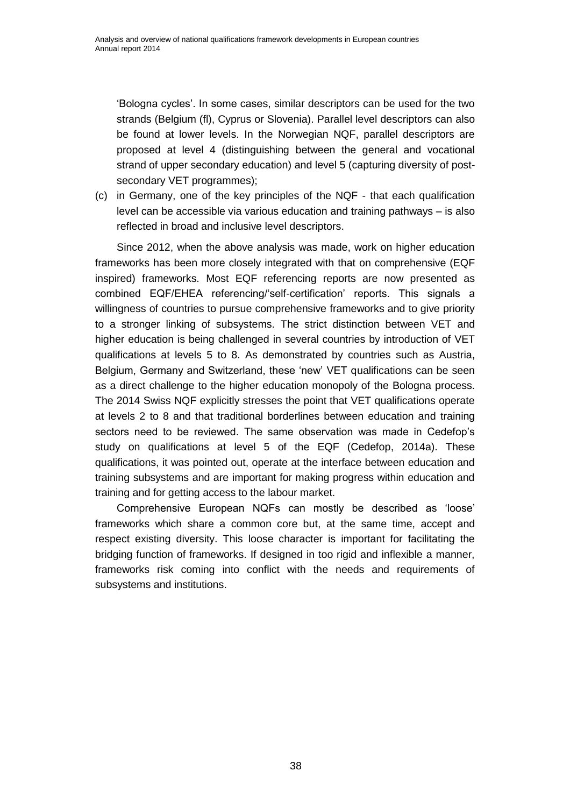'Bologna cycles'. In some cases, similar descriptors can be used for the two strands (Belgium (fl), Cyprus or Slovenia). Parallel level descriptors can also be found at lower levels. In the Norwegian NQF, parallel descriptors are proposed at level 4 (distinguishing between the general and vocational strand of upper secondary education) and level 5 (capturing diversity of postsecondary VET programmes);

(c) in Germany, one of the key principles of the NQF - that each qualification level can be accessible via various education and training pathways – is also reflected in broad and inclusive level descriptors.

Since 2012, when the above analysis was made, work on higher education frameworks has been more closely integrated with that on comprehensive (EQF inspired) frameworks. Most EQF referencing reports are now presented as combined EQF/EHEA referencing/'self-certification' reports. This signals a willingness of countries to pursue comprehensive frameworks and to give priority to a stronger linking of subsystems. The strict distinction between VET and higher education is being challenged in several countries by introduction of VET qualifications at levels 5 to 8. As demonstrated by countries such as Austria, Belgium, Germany and Switzerland, these 'new' VET qualifications can be seen as a direct challenge to the higher education monopoly of the Bologna process. The 2014 Swiss NQF explicitly stresses the point that VET qualifications operate at levels 2 to 8 and that traditional borderlines between education and training sectors need to be reviewed. The same observation was made in Cedefop's study on qualifications at level 5 of the EQF (Cedefop, 2014a). These qualifications, it was pointed out, operate at the interface between education and training subsystems and are important for making progress within education and training and for getting access to the labour market.

Comprehensive European NQFs can mostly be described as 'loose' frameworks which share a common core but, at the same time, accept and respect existing diversity. This loose character is important for facilitating the bridging function of frameworks. If designed in too rigid and inflexible a manner, frameworks risk coming into conflict with the needs and requirements of subsystems and institutions.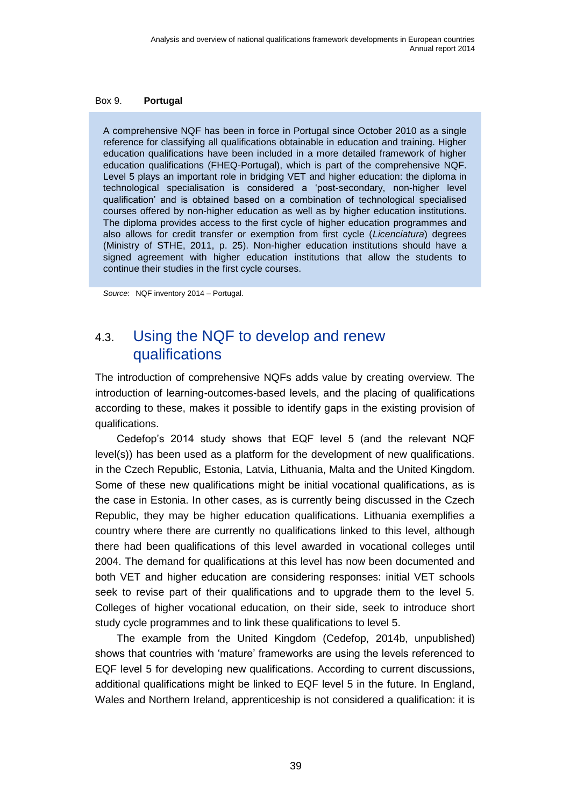#### <span id="page-44-1"></span>Box 9. **Portugal**

A comprehensive NQF has been in force in Portugal since October 2010 as a single reference for classifying all qualifications obtainable in education and training. Higher education qualifications have been included in a more detailed framework of higher education qualifications (FHEQ-Portugal), which is part of the comprehensive NQF. Level 5 plays an important role in bridging VET and higher education: the diploma in technological specialisation is considered a 'post-secondary, non-higher level qualification' and is obtained based on a combination of technological specialised courses offered by non-higher education as well as by higher education institutions. The diploma provides access to the first cycle of higher education programmes and also allows for credit transfer or exemption from first cycle (*Licenciatura*) degrees (Ministry of STHE, 2011, p. 25). Non-higher education institutions should have a signed agreement with higher education institutions that allow the students to continue their studies in the first cycle courses.

<span id="page-44-0"></span>*Source*: NQF inventory 2014 – Portugal.

## 4.3. Using the NQF to develop and renew qualifications

The introduction of comprehensive NQFs adds value by creating overview. The introduction of learning-outcomes-based levels, and the placing of qualifications according to these, makes it possible to identify gaps in the existing provision of qualifications.

Cedefop's 2014 study shows that EQF level 5 (and the relevant NQF level(s)) has been used as a platform for the development of new qualifications. in the Czech Republic, Estonia, Latvia, Lithuania, Malta and the United Kingdom. Some of these new qualifications might be initial vocational qualifications, as is the case in Estonia. In other cases, as is currently being discussed in the Czech Republic, they may be higher education qualifications. Lithuania exemplifies a country where there are currently no qualifications linked to this level, although there had been qualifications of this level awarded in vocational colleges until 2004. The demand for qualifications at this level has now been documented and both VET and higher education are considering responses: initial VET schools seek to revise part of their qualifications and to upgrade them to the level 5. Colleges of higher vocational education, on their side, seek to introduce short study cycle programmes and to link these qualifications to level 5.

The example from the United Kingdom (Cedefop, 2014b, unpublished) shows that countries with 'mature' frameworks are using the levels referenced to EQF level 5 for developing new qualifications. According to current discussions, additional qualifications might be linked to EQF level 5 in the future. In England, Wales and Northern Ireland, apprenticeship is not considered a qualification: it is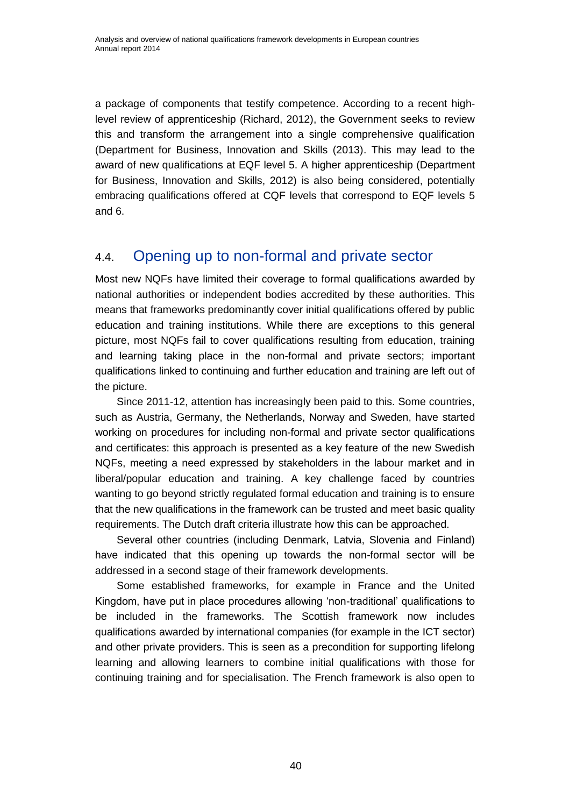a package of components that testify competence. According to a recent highlevel review of apprenticeship (Richard, 2012), the Government seeks to review this and transform the arrangement into a single comprehensive qualification (Department for Business, Innovation and Skills (2013). This may lead to the award of new qualifications at EQF level 5. A higher apprenticeship (Department for Business, Innovation and Skills, 2012) is also being considered, potentially embracing qualifications offered at CQF levels that correspond to EQF levels 5 and 6.

## <span id="page-45-0"></span>4.4. Opening up to non-formal and private sector

Most new NQFs have limited their coverage to formal qualifications awarded by national authorities or independent bodies accredited by these authorities. This means that frameworks predominantly cover initial qualifications offered by public education and training institutions. While there are exceptions to this general picture, most NQFs fail to cover qualifications resulting from education, training and learning taking place in the non-formal and private sectors; important qualifications linked to continuing and further education and training are left out of the picture.

Since 2011-12, attention has increasingly been paid to this. Some countries, such as Austria, Germany, the Netherlands, Norway and Sweden, have started working on procedures for including non-formal and private sector qualifications and certificates: this approach is presented as a key feature of the new Swedish NQFs, meeting a need expressed by stakeholders in the labour market and in liberal/popular education and training. A key challenge faced by countries wanting to go beyond strictly regulated formal education and training is to ensure that the new qualifications in the framework can be trusted and meet basic quality requirements. The Dutch draft criteria illustrate how this can be approached.

Several other countries (including Denmark, Latvia, Slovenia and Finland) have indicated that this opening up towards the non-formal sector will be addressed in a second stage of their framework developments.

Some established frameworks, for example in France and the United Kingdom, have put in place procedures allowing 'non-traditional' qualifications to be included in the frameworks. The Scottish framework now includes qualifications awarded by international companies (for example in the ICT sector) and other private providers. This is seen as a precondition for supporting lifelong learning and allowing learners to combine initial qualifications with those for continuing training and for specialisation. The French framework is also open to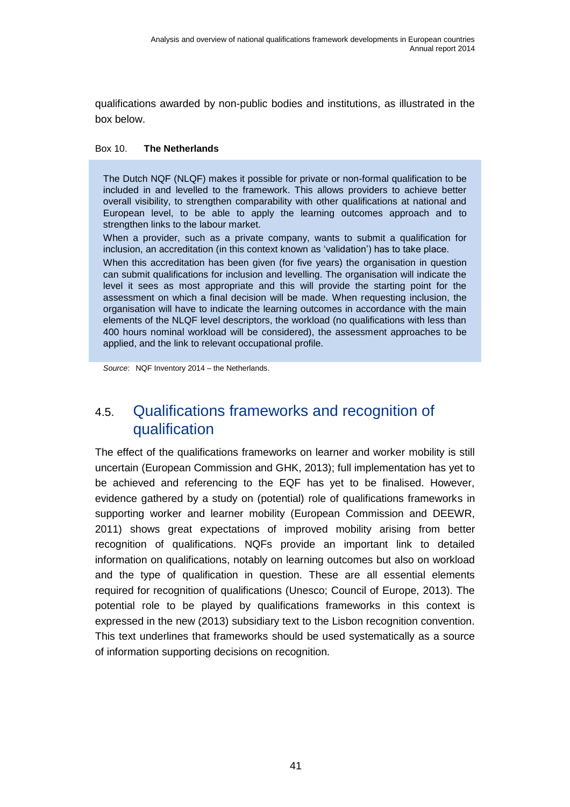qualifications awarded by non-public bodies and institutions, as illustrated in the box below.

#### <span id="page-46-1"></span>Box 10. **The Netherlands**

The Dutch NQF (NLQF) makes it possible for private or non-formal qualification to be included in and levelled to the framework. This allows providers to achieve better overall visibility, to strengthen comparability with other qualifications at national and European level, to be able to apply the learning outcomes approach and to strengthen links to the labour market.

When a provider, such as a private company, wants to submit a qualification for inclusion, an accreditation (in this context known as 'validation') has to take place.

When this accreditation has been given (for five years) the organisation in question can submit qualifications for inclusion and levelling. The organisation will indicate the level it sees as most appropriate and this will provide the starting point for the assessment on which a final decision will be made. When requesting inclusion, the organisation will have to indicate the learning outcomes in accordance with the main elements of the NLQF level descriptors, the workload (no qualifications with less than 400 hours nominal workload will be considered), the assessment approaches to be applied, and the link to relevant occupational profile.

<span id="page-46-0"></span>*Source*: NQF Inventory 2014 – the Netherlands.

## 4.5. Qualifications frameworks and recognition of qualification

The effect of the qualifications frameworks on learner and worker mobility is still uncertain (European Commission and GHK, 2013); full implementation has yet to be achieved and referencing to the EQF has yet to be finalised. However, evidence gathered by a study on (potential) role of qualifications frameworks in supporting worker and learner mobility (European Commission and DEEWR, 2011) shows great expectations of improved mobility arising from better recognition of qualifications. NQFs provide an important link to detailed information on qualifications, notably on learning outcomes but also on workload and the type of qualification in question. These are all essential elements required for recognition of qualifications (Unesco; Council of Europe, 2013). The potential role to be played by qualifications frameworks in this context is expressed in the new (2013) subsidiary text to the Lisbon recognition convention. This text underlines that frameworks should be used systematically as a source of information supporting decisions on recognition.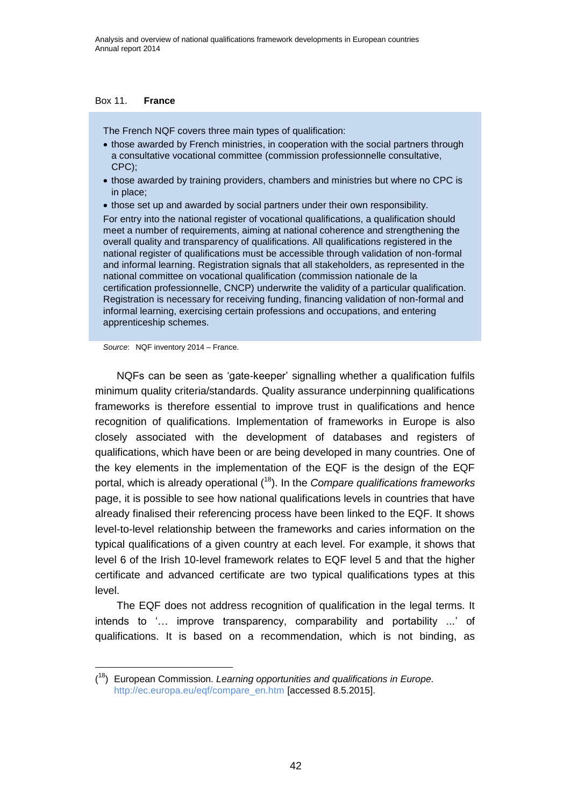#### Box 11. **France**

The French NQF covers three main types of qualification:

- those awarded by French ministries, in cooperation with the social partners through a consultative vocational committee (commission professionnelle consultative, CPC);
- those awarded by training providers, chambers and ministries but where no CPC is in place;
- those set up and awarded by social partners under their own responsibility.

For entry into the national register of vocational qualifications, a qualification should meet a number of requirements, aiming at national coherence and strengthening the overall quality and transparency of qualifications. All qualifications registered in the national register of qualifications must be accessible through validation of non-formal and informal learning. Registration signals that all stakeholders, as represented in the national committee on vocational qualification (commission nationale de la certification professionnelle, CNCP) underwrite the validity of a particular qualification. Registration is necessary for receiving funding, financing validation of non-formal and informal learning, exercising certain professions and occupations, and entering apprenticeship schemes.

*Source*: NQF inventory 2014 – France.

NQFs can be seen as 'gate-keeper' signalling whether a qualification fulfils minimum quality criteria/standards. Quality assurance underpinning qualifications frameworks is therefore essential to improve trust in qualifications and hence recognition of qualifications. Implementation of frameworks in Europe is also closely associated with the development of databases and registers of qualifications, which have been or are being developed in many countries. One of the key elements in the implementation of the EQF is the design of the EQF portal, which is already operational (<sup>18</sup>). In the *Compare qualifications frameworks* page, it is possible to see how national qualifications levels in countries that have already finalised their referencing process have been linked to the EQF. It shows level-to-level relationship between the frameworks and caries information on the typical qualifications of a given country at each level. For example, it shows that level 6 of the Irish 10-level framework relates to EQF level 5 and that the higher certificate and advanced certificate are two typical qualifications types at this level.

The EQF does not address recognition of qualification in the legal terms. It intends to '… improve transparency, comparability and portability ...' of qualifications. It is based on a recommendation, which is not binding, as

<sup>(</sup> <sup>18</sup>) European Commission. *Learning opportunities and qualifications in Europe.* [http://ec.europa.eu/eqf/compare\\_en.htm](http://ec.europa.eu/eqf/compare_en.htm) [accessed 8.5.2015].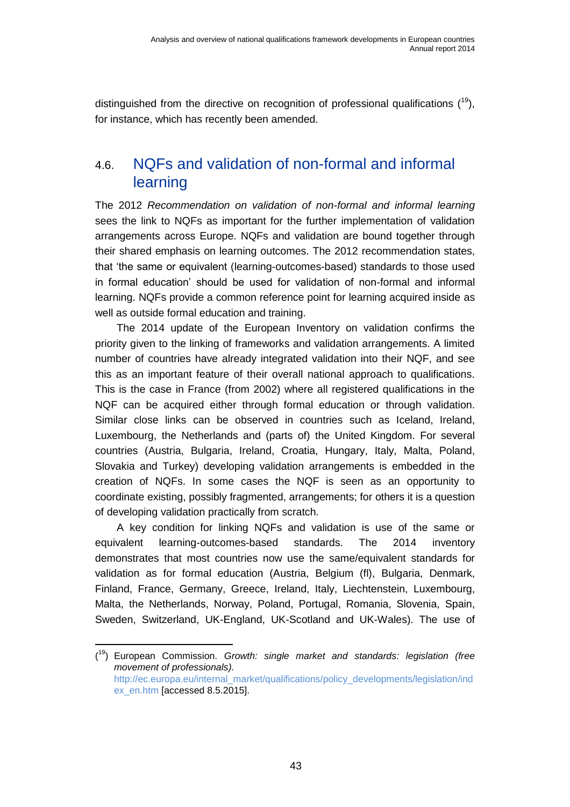distinguished from the directive on recognition of professional qualifications  $(19)$ , for instance, which has recently been amended.

## <span id="page-48-0"></span>4.6. NQFs and validation of non-formal and informal learning

The 2012 *Recommendation on validation of non-formal and informal learning* sees the link to NQFs as important for the further implementation of validation arrangements across Europe. NQFs and validation are bound together through their shared emphasis on learning outcomes. The 2012 recommendation states, that 'the same or equivalent (learning-outcomes-based) standards to those used in formal education' should be used for validation of non-formal and informal learning. NQFs provide a common reference point for learning acquired inside as well as outside formal education and training.

The 2014 update of the European Inventory on validation confirms the priority given to the linking of frameworks and validation arrangements. A limited number of countries have already integrated validation into their NQF, and see this as an important feature of their overall national approach to qualifications. This is the case in France (from 2002) where all registered qualifications in the NQF can be acquired either through formal education or through validation. Similar close links can be observed in countries such as Iceland, Ireland, Luxembourg, the Netherlands and (parts of) the United Kingdom. For several countries (Austria, Bulgaria, Ireland, Croatia, Hungary, Italy, Malta, Poland, Slovakia and Turkey) developing validation arrangements is embedded in the creation of NQFs. In some cases the NQF is seen as an opportunity to coordinate existing, possibly fragmented, arrangements; for others it is a question of developing validation practically from scratch.

A key condition for linking NQFs and validation is use of the same or equivalent learning-outcomes-based standards. The 2014 inventory demonstrates that most countries now use the same/equivalent standards for validation as for formal education (Austria, Belgium (fl), Bulgaria, Denmark, Finland, France, Germany, Greece, Ireland, Italy, Liechtenstein, Luxembourg, Malta, the Netherlands, Norway, Poland, Portugal, Romania, Slovenia, Spain, Sweden, Switzerland, UK-England, UK-Scotland and UK-Wales). The use of

<sup>(</sup> <sup>19</sup>) European Commission. *Growth: single market and standards: legislation (free movement of professionals).* [http://ec.europa.eu/internal\\_market/qualifications/policy\\_developments/legislation/ind](http://ec.europa.eu/internal_market/qualifications/policy_developments/legislation/index_en.htm) [ex\\_en.htm](http://ec.europa.eu/internal_market/qualifications/policy_developments/legislation/index_en.htm) [accessed 8.5.2015].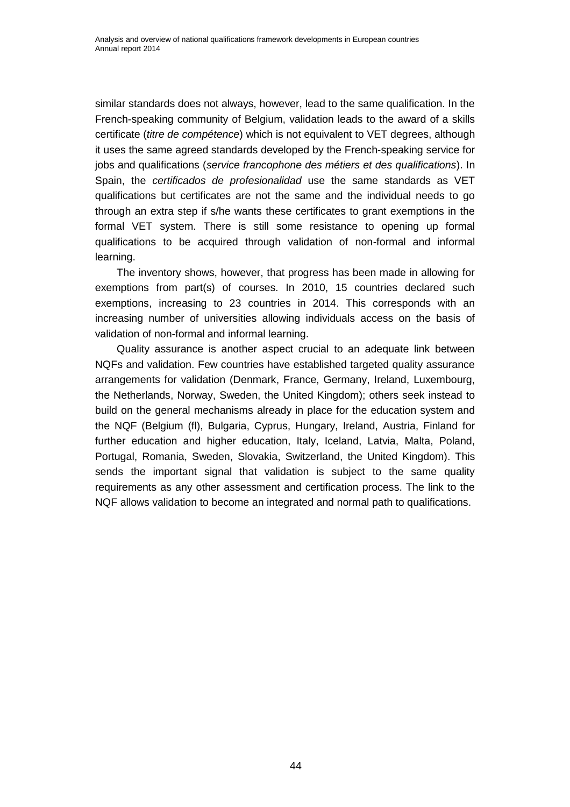similar standards does not always, however, lead to the same qualification. In the French-speaking community of Belgium, validation leads to the award of a skills certificate (*titre de compétence*) which is not equivalent to VET degrees, although it uses the same agreed standards developed by the French-speaking service for jobs and qualifications (*service francophone des métiers et des qualifications*). In Spain, the *certificados de profesionalidad* use the same standards as VET qualifications but certificates are not the same and the individual needs to go through an extra step if s/he wants these certificates to grant exemptions in the formal VET system. There is still some resistance to opening up formal qualifications to be acquired through validation of non-formal and informal learning.

The inventory shows, however, that progress has been made in allowing for exemptions from part(s) of courses. In 2010, 15 countries declared such exemptions, increasing to 23 countries in 2014. This corresponds with an increasing number of universities allowing individuals access on the basis of validation of non-formal and informal learning.

Quality assurance is another aspect crucial to an adequate link between NQFs and validation. Few countries have established targeted quality assurance arrangements for validation (Denmark, France, Germany, Ireland, Luxembourg, the Netherlands, Norway, Sweden, the United Kingdom); others seek instead to build on the general mechanisms already in place for the education system and the NQF (Belgium (fl), Bulgaria, Cyprus, Hungary, Ireland, Austria, Finland for further education and higher education, Italy, Iceland, Latvia, Malta, Poland, Portugal, Romania, Sweden, Slovakia, Switzerland, the United Kingdom). This sends the important signal that validation is subject to the same quality requirements as any other assessment and certification process. The link to the NQF allows validation to become an integrated and normal path to qualifications.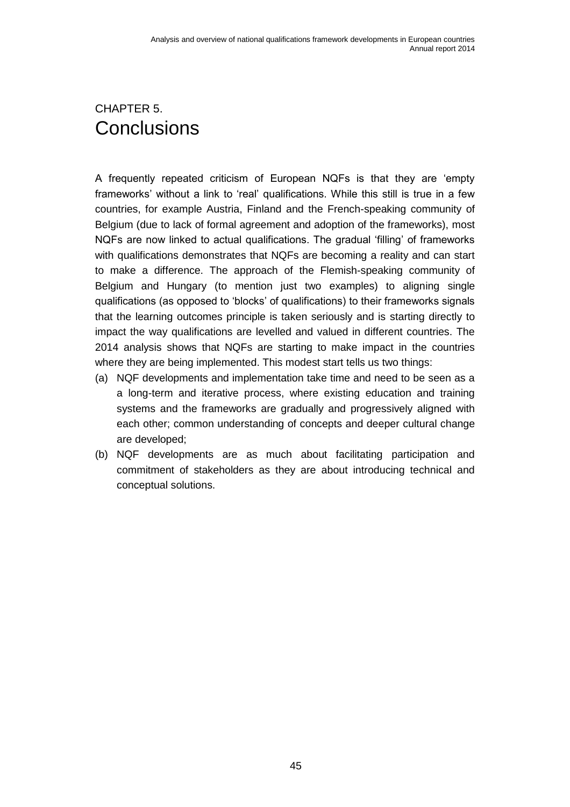## <span id="page-50-0"></span>CHAPTER 5. **Conclusions**

A frequently repeated criticism of European NQFs is that they are 'empty frameworks' without a link to 'real' qualifications. While this still is true in a few countries, for example Austria, Finland and the French-speaking community of Belgium (due to lack of formal agreement and adoption of the frameworks), most NQFs are now linked to actual qualifications. The gradual 'filling' of frameworks with qualifications demonstrates that NQFs are becoming a reality and can start to make a difference. The approach of the Flemish-speaking community of Belgium and Hungary (to mention just two examples) to aligning single qualifications (as opposed to 'blocks' of qualifications) to their frameworks signals that the learning outcomes principle is taken seriously and is starting directly to impact the way qualifications are levelled and valued in different countries. The 2014 analysis shows that NQFs are starting to make impact in the countries where they are being implemented. This modest start tells us two things:

- (a) NQF developments and implementation take time and need to be seen as a a long-term and iterative process, where existing education and training systems and the frameworks are gradually and progressively aligned with each other; common understanding of concepts and deeper cultural change are developed;
- (b) NQF developments are as much about facilitating participation and commitment of stakeholders as they are about introducing technical and conceptual solutions.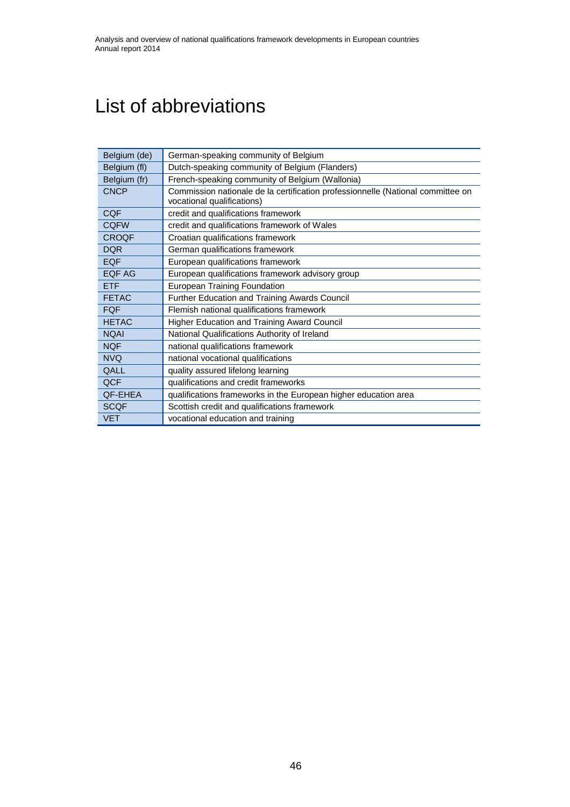## <span id="page-51-0"></span>List of abbreviations

| Belgium (de) | German-speaking community of Belgium                                                                          |  |  |  |  |
|--------------|---------------------------------------------------------------------------------------------------------------|--|--|--|--|
| Belgium (fl) | Dutch-speaking community of Belgium (Flanders)                                                                |  |  |  |  |
| Belgium (fr) | French-speaking community of Belgium (Wallonia)                                                               |  |  |  |  |
| <b>CNCP</b>  | Commission nationale de la certification professionnelle (National committee on<br>vocational qualifications) |  |  |  |  |
| <b>CQF</b>   | credit and qualifications framework                                                                           |  |  |  |  |
| <b>CQFW</b>  | credit and qualifications framework of Wales                                                                  |  |  |  |  |
| <b>CROQF</b> | Croatian qualifications framework                                                                             |  |  |  |  |
| <b>DQR</b>   | German qualifications framework                                                                               |  |  |  |  |
| <b>EQF</b>   | European qualifications framework                                                                             |  |  |  |  |
| EQF AG       | European qualifications framework advisory group                                                              |  |  |  |  |
| <b>ETF</b>   | <b>European Training Foundation</b>                                                                           |  |  |  |  |
| <b>FETAC</b> | Further Education and Training Awards Council                                                                 |  |  |  |  |
| <b>FQF</b>   | Flemish national qualifications framework                                                                     |  |  |  |  |
| <b>HETAC</b> | Higher Education and Training Award Council                                                                   |  |  |  |  |
| <b>NQAI</b>  | National Qualifications Authority of Ireland                                                                  |  |  |  |  |
| <b>NQF</b>   | national qualifications framework                                                                             |  |  |  |  |
| <b>NVQ</b>   | national vocational qualifications                                                                            |  |  |  |  |
| QALL         | quality assured lifelong learning                                                                             |  |  |  |  |
| QCF          | qualifications and credit frameworks                                                                          |  |  |  |  |
| QF-EHEA      | qualifications frameworks in the European higher education area                                               |  |  |  |  |
| <b>SCQF</b>  | Scottish credit and qualifications framework                                                                  |  |  |  |  |
| <b>VET</b>   | vocational education and training                                                                             |  |  |  |  |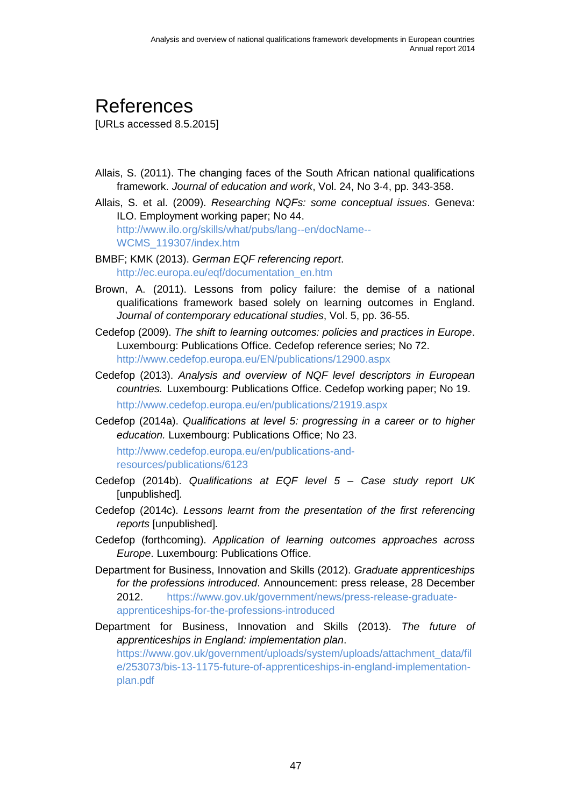# <span id="page-52-0"></span>References

[URLs accessed 8.5.2015]

- Allais, S. (2011). The changing faces of the South African national qualifications framework. *Journal of education and work*, Vol. 24, No 3-4, pp. 343-358.
- Allais, S. et al. (2009). *Researching NQFs: some conceptual issues*. Geneva: ILO. Employment working paper; No 44. [http://www.ilo.org/skills/what/pubs/lang--en/docName--](http://www.ilo.org/skills/what/pubs/lang--en/docName--WCMS_119307/index.htm) [WCMS\\_119307/index.htm](http://www.ilo.org/skills/what/pubs/lang--en/docName--WCMS_119307/index.htm)
- BMBF; KMK (2013). *German EQF referencing report*. [http://ec.europa.eu/eqf/documentation\\_en.htm](http://ec.europa.eu/eqf/documentation_en.htm)
- Brown, A. (2011). Lessons from policy failure: the demise of a national qualifications framework based solely on learning outcomes in England. *Journal of contemporary educational studies*, Vol. 5, pp. 36-55.
- Cedefop (2009). *The shift to learning outcomes: policies and practices in Europe*. Luxembourg: Publications Office. Cedefop reference series; No 72. <http://www.cedefop.europa.eu/EN/publications/12900.aspx>
- Cedefop (2013). *Analysis and overview of NQF level descriptors in European countries.* Luxembourg: Publications Office. Cedefop working paper; No 19. <http://www.cedefop.europa.eu/en/publications/21919.aspx>
- Cedefop (2014a). *Qualifications at level 5: progressing in a career or to higher education.* Luxembourg: Publications Office; No 23.

[http://www.cedefop.europa.eu/en/publications-and](http://www.cedefop.europa.eu/en/publications-and-resources/publications/6123)[resources/publications/6123](http://www.cedefop.europa.eu/en/publications-and-resources/publications/6123)

- Cedefop (2014b). *Qualifications at EQF level 5 – Case study report UK* [unpublished]*.*
- Cedefop (2014c). *Lessons learnt from the presentation of the first referencing reports* [unpublished]*.*
- Cedefop (forthcoming). *Application of learning outcomes approaches across Europe*. Luxembourg: Publications Office.
- Department for Business, Innovation and Skills (2012). *Graduate apprenticeships for the professions introduced*. Announcement: press release, 28 December 2012. [https://www.gov.uk/government/news/press-release-graduate](https://www.gov.uk/government/news/press-release-graduate-apprenticeships-for-the-professions-introduced)[apprenticeships-for-the-professions-introduced](https://www.gov.uk/government/news/press-release-graduate-apprenticeships-for-the-professions-introduced)
- Department for Business, Innovation and Skills (2013). *The future of apprenticeships in England: implementation plan*. [https://www.gov.uk/government/uploads/system/uploads/attachment\\_data/fil](https://www.gov.uk/government/uploads/system/uploads/attachment_data/file/253073/bis-13-1175-future-of-apprenticeships-in-england-implementation-plan.pdf) [e/253073/bis-13-1175-future-of-apprenticeships-in-england-implementation](https://www.gov.uk/government/uploads/system/uploads/attachment_data/file/253073/bis-13-1175-future-of-apprenticeships-in-england-implementation-plan.pdf)[plan.pdf](https://www.gov.uk/government/uploads/system/uploads/attachment_data/file/253073/bis-13-1175-future-of-apprenticeships-in-england-implementation-plan.pdf)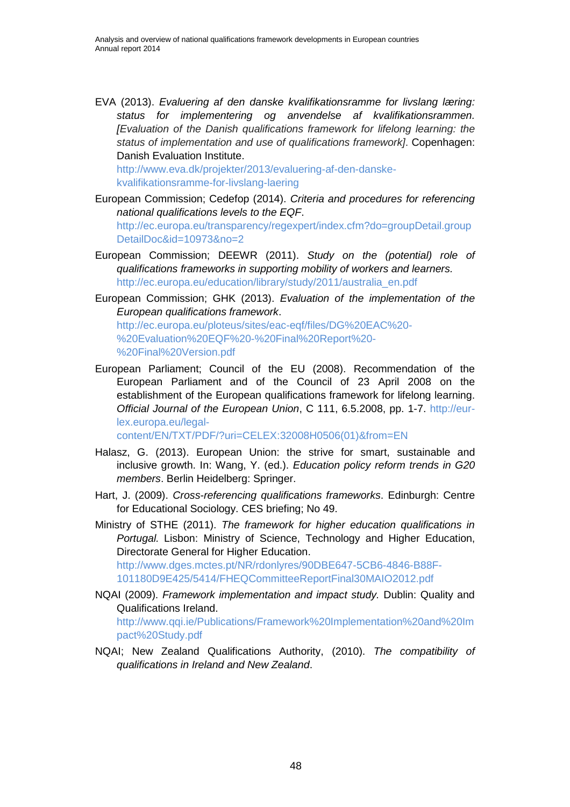EVA (2013). *Evaluering af den danske kvalifikationsramme for livslang læring: status for implementering og anvendelse af kvalifikationsrammen. [Evaluation of the Danish qualifications framework for lifelong learning: the status of implementation and use of qualifications framework]*. Copenhagen: Danish Evaluation Institute.

[http://www.eva.dk/projekter/2013/evaluering-af-den-danske](http://www.eva.dk/projekter/2013/evaluering-af-den-danske-kvalifikationsramme-for-livslang-laering)[kvalifikationsramme-for-livslang-laering](http://www.eva.dk/projekter/2013/evaluering-af-den-danske-kvalifikationsramme-for-livslang-laering)

- European Commission; Cedefop (2014). *Criteria and procedures for referencing national qualifications levels to the EQF*. [http://ec.europa.eu/transparency/regexpert/index.cfm?do=groupDetail.group](http://ec.europa.eu/transparency/regexpert/index.cfm?do=groupDetail.groupDetailDoc&id=10973&no=2) [DetailDoc&id=10973&no=2](http://ec.europa.eu/transparency/regexpert/index.cfm?do=groupDetail.groupDetailDoc&id=10973&no=2)
- European Commission; DEEWR (2011). *Study on the (potential) role of qualifications frameworks in supporting mobility of workers and learners.* [http://ec.europa.eu/education/library/study/2011/australia\\_en.pdf](http://ec.europa.eu/education/library/study/2011/australia_en.pdf)
- European Commission; GHK (2013). *Evaluation of the implementation of the European qualifications framework*.

[http://ec.europa.eu/ploteus/sites/eac-eqf/files/DG%20EAC%20-](http://ec.europa.eu/ploteus/sites/eac-eqf/files/DG%20EAC%20-%20Evaluation%20EQF%20-%20Final%20Report%20-%20Final%20Version.pdf) [%20Evaluation%20EQF%20-%20Final%20Report%20-](http://ec.europa.eu/ploteus/sites/eac-eqf/files/DG%20EAC%20-%20Evaluation%20EQF%20-%20Final%20Report%20-%20Final%20Version.pdf) [%20Final%20Version.pdf](http://ec.europa.eu/ploteus/sites/eac-eqf/files/DG%20EAC%20-%20Evaluation%20EQF%20-%20Final%20Report%20-%20Final%20Version.pdf)

European Parliament; Council of the EU (2008). Recommendation of the European Parliament and of the Council of 23 April 2008 on the establishment of the European qualifications framework for lifelong learning. *Official Journal of the European Union*, C 111, 6.5.2008, pp. 1-7. [http://eur](http://eur-lex.europa.eu/legal-content/EN/TXT/PDF/?uri=CELEX:32008H0506(01)&from=EN)[lex.europa.eu/legal-](http://eur-lex.europa.eu/legal-content/EN/TXT/PDF/?uri=CELEX:32008H0506(01)&from=EN)

[content/EN/TXT/PDF/?uri=CELEX:32008H0506\(01\)&from=EN](http://eur-lex.europa.eu/legal-content/EN/TXT/PDF/?uri=CELEX:32008H0506(01)&from=EN)

- Halasz, G. (2013). European Union: the strive for smart, sustainable and inclusive growth. In: Wang, Y. (ed.). *Education policy reform trends in G20 members*. Berlin Heidelberg: Springer.
- Hart, J. (2009). *Cross-referencing qualifications frameworks*. Edinburgh: Centre for Educational Sociology. CES briefing; No 49.

Ministry of STHE (2011). *The framework for higher education qualifications in Portugal.* Lisbon: Ministry of Science, Technology and Higher Education, Directorate General for Higher Education. [http://www.dges.mctes.pt/NR/rdonlyres/90DBE647-5CB6-4846-B88F-](http://www.dges.mctes.pt/NR/rdonlyres/90DBE647-5CB6-4846-B88F-101180D9E425/5414/FHEQCommitteeReportFinal30MAIO2012.pdf)

[101180D9E425/5414/FHEQCommitteeReportFinal30MAIO2012.pdf](http://www.dges.mctes.pt/NR/rdonlyres/90DBE647-5CB6-4846-B88F-101180D9E425/5414/FHEQCommitteeReportFinal30MAIO2012.pdf)

- NQAI (2009). *Framework implementation and impact study.* Dublin: Quality and Qualifications Ireland. [http://www.qqi.ie/Publications/Framework%20Implementation%20and%20Im](http://www.qqi.ie/Publications/Framework%20Implementation%20and%20Impact%20Study.pdf)
- [pact%20Study.pdf](http://www.qqi.ie/Publications/Framework%20Implementation%20and%20Impact%20Study.pdf) NQAI; New Zealand Qualifications Authority, (2010). *The compatibility of qualifications in Ireland and New Zealand*.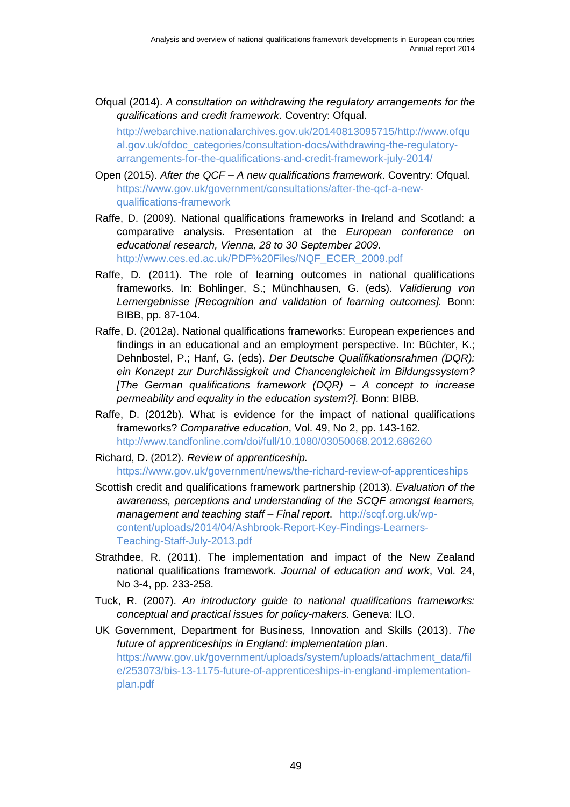Ofqual (2014). *A consultation on withdrawing the regulatory arrangements for the qualifications and credit framework*. Coventry: Ofqual.

[http://webarchive.nationalarchives.gov.uk/20140813095715/http://www.ofqu](http://webarchive.nationalarchives.gov.uk/20140813095715/http:/www.ofqual.gov.uk/ofdoc_categories/consultation-docs/withdrawing-the-regulatory-arrangements-for-the-qualifications-and-credit-framework-july-2014/) [al.gov.uk/ofdoc\\_categories/consultation-docs/withdrawing-the-regulatory](http://webarchive.nationalarchives.gov.uk/20140813095715/http:/www.ofqual.gov.uk/ofdoc_categories/consultation-docs/withdrawing-the-regulatory-arrangements-for-the-qualifications-and-credit-framework-july-2014/)[arrangements-for-the-qualifications-and-credit-framework-july-2014/](http://webarchive.nationalarchives.gov.uk/20140813095715/http:/www.ofqual.gov.uk/ofdoc_categories/consultation-docs/withdrawing-the-regulatory-arrangements-for-the-qualifications-and-credit-framework-july-2014/)

- Open (2015). *After the QCF – A new qualifications framework*. Coventry: Ofqual. [https://www.gov.uk/government/consultations/after-the-qcf-a-new](https://www.gov.uk/government/consultations/after-the-qcf-a-new-qualifications-framework)[qualifications-framework](https://www.gov.uk/government/consultations/after-the-qcf-a-new-qualifications-framework)
- Raffe, D. (2009). National qualifications frameworks in Ireland and Scotland: a comparative analysis. Presentation at the *European conference on educational research, Vienna, 28 to 30 September 2009*. [http://www.ces.ed.ac.uk/PDF%20Files/NQF\\_ECER\\_2009.pdf](http://www.ces.ed.ac.uk/PDF%20Files/NQF_ECER_2009.pdf)
- Raffe, D. (2011). The role of learning outcomes in national qualifications frameworks. In: Bohlinger, S.; Münchhausen, G. (eds). *Validierung von Lernergebnisse [Recognition and validation of learning outcomes].* Bonn: BIBB, pp. 87-104.
- Raffe, D. (2012a). National qualifications frameworks: European experiences and findings in an educational and an employment perspective. In: Büchter, K.; Dehnbostel, P.; Hanf, G. (eds). *Der Deutsche Qualifikationsrahmen (DQR): ein Konzept zur Durchlässigkeit und Chancengleicheit im Bildungssystem? [The German qualifications framework (DQR) – A concept to increase permeability and equality in the education system?].* Bonn: BIBB.
- Raffe, D. (2012b). What is evidence for the impact of national qualifications frameworks? *Comparative education*, Vol. 49, No 2, pp. 143-162. <http://www.tandfonline.com/doi/full/10.1080/03050068.2012.686260>

Richard, D. (2012). *Review of apprenticeship.* <https://www.gov.uk/government/news/the-richard-review-of-apprenticeships>

- Scottish credit and qualifications framework partnership (2013). *Evaluation of the awareness, perceptions and understanding of the SCQF amongst learners, management and teaching staff – Final report*. [http://scqf.org.uk/wp](http://scqf.org.uk/wp-content/uploads/2014/04/Ashbrook-Report-Key-Findings-Learners-Teaching-Staff-July-2013.pdf)[content/uploads/2014/04/Ashbrook-Report-Key-Findings-Learners-](http://scqf.org.uk/wp-content/uploads/2014/04/Ashbrook-Report-Key-Findings-Learners-Teaching-Staff-July-2013.pdf)[Teaching-Staff-July-2013.pdf](http://scqf.org.uk/wp-content/uploads/2014/04/Ashbrook-Report-Key-Findings-Learners-Teaching-Staff-July-2013.pdf)
- Strathdee, R. (2011). The implementation and impact of the New Zealand national qualifications framework. *Journal of education and work*, Vol. 24, No 3-4, pp. 233-258.
- Tuck, R. (2007). *An introductory guide to national qualifications frameworks: conceptual and practical issues for policy-makers*. Geneva: ILO.
- UK Government, Department for Business, Innovation and Skills (2013). *The future of apprenticeships in England: implementation plan.* [https://www.gov.uk/government/uploads/system/uploads/attachment\\_data/fil](https://www.gov.uk/government/uploads/system/uploads/attachment_data/file/253073/bis-13-1175-future-of-apprenticeships-in-england-implementation-plan.pdf) [e/253073/bis-13-1175-future-of-apprenticeships-in-england-implementation](https://www.gov.uk/government/uploads/system/uploads/attachment_data/file/253073/bis-13-1175-future-of-apprenticeships-in-england-implementation-plan.pdf)[plan.pdf](https://www.gov.uk/government/uploads/system/uploads/attachment_data/file/253073/bis-13-1175-future-of-apprenticeships-in-england-implementation-plan.pdf)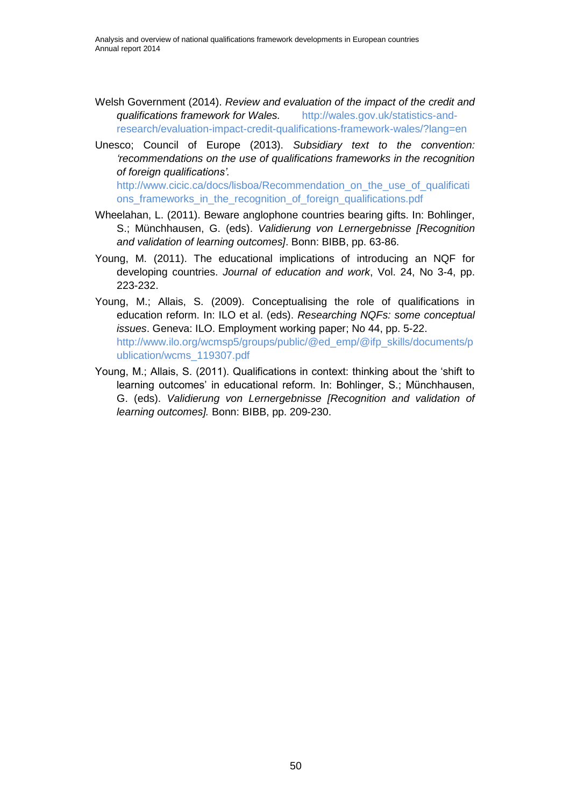- Welsh Government (2014). *Review and evaluation of the impact of the credit and qualifications framework for Wales.* [http://wales.gov.uk/statistics-and](http://wales.gov.uk/statistics-and-research/evaluation-impact-credit-qualifications-framework-wales/?lang=en)[research/evaluation-impact-credit-qualifications-framework-wales/?lang=en](http://wales.gov.uk/statistics-and-research/evaluation-impact-credit-qualifications-framework-wales/?lang=en)
- Unesco; Council of Europe (2013). *Subsidiary text to the convention: 'recommendations on the use of qualifications frameworks in the recognition of foreign qualifications'.* [http://www.cicic.ca/docs/lisboa/Recommendation\\_on\\_the\\_use\\_of\\_qualificati](http://www.cicic.ca/docs/lisboa/Recommendation_on_the_use_of_qualifications_frameworks_in_the_recognition_of_foreign_qualifications.pdf) ons frameworks in the recognition of foreign qualifications.pdf
- Wheelahan, L. (2011). Beware anglophone countries bearing gifts. In: Bohlinger, S.; Münchhausen, G. (eds). *Validierung von Lernergebnisse [Recognition and validation of learning outcomes]*. Bonn: BIBB, pp. 63-86.
- Young, M. (2011). The educational implications of introducing an NQF for developing countries. *Journal of education and work*, Vol. 24, No 3-4, pp. 223-232.
- Young, M.; Allais, S. (2009). Conceptualising the role of qualifications in education reform. In: ILO et al. (eds). *Researching NQFs: some conceptual issues*. Geneva: ILO. Employment working paper; No 44, pp. 5-22. [http://www.ilo.org/wcmsp5/groups/public/@ed\\_emp/@ifp\\_skills/documents/p](http://www.ilo.org/wcmsp5/groups/public/@ed_emp/@ifp_skills/documents/publication/wcms_119307.pdf) [ublication/wcms\\_119307.pdf](http://www.ilo.org/wcmsp5/groups/public/@ed_emp/@ifp_skills/documents/publication/wcms_119307.pdf)
- Young, M.; Allais, S. (2011). Qualifications in context: thinking about the 'shift to learning outcomes' in educational reform. In: Bohlinger, S.; Münchhausen, G. (eds). *Validierung von Lernergebnisse [Recognition and validation of learning outcomes].* Bonn: BIBB, pp. 209-230.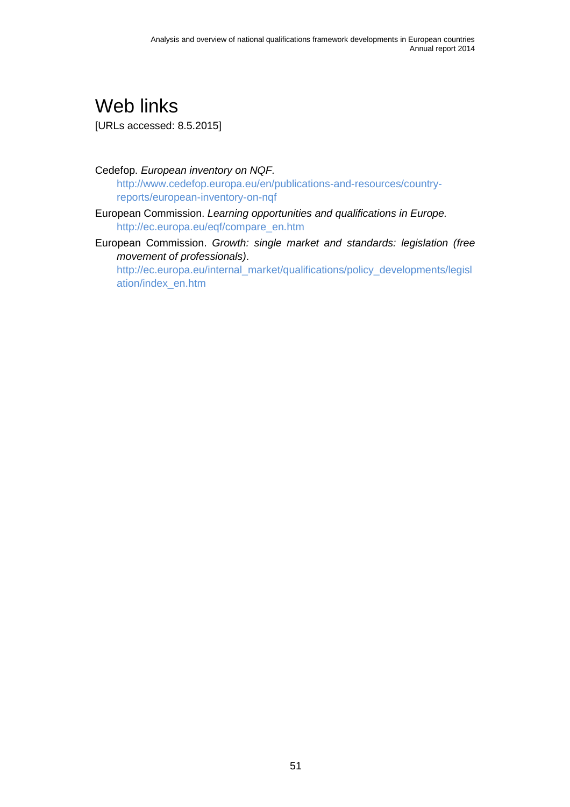<span id="page-56-0"></span>Web links [URLs accessed: 8.5.2015]

Cedefop. *European inventory on NQF.* [http://www.cedefop.europa.eu/en/publications-and-resources/country](http://www.cedefop.europa.eu/en/publications-and-resources/country-reports/european-inventory-on-nqf)[reports/european-inventory-on-nqf](http://www.cedefop.europa.eu/en/publications-and-resources/country-reports/european-inventory-on-nqf)

- European Commission. *Learning opportunities and qualifications in Europe.* [http://ec.europa.eu/eqf/compare\\_en.htm](http://ec.europa.eu/eqf/compare_en.htm)
- European Commission. *Growth: single market and standards: legislation (free movement of professionals)*.

[http://ec.europa.eu/internal\\_market/qualifications/policy\\_developments/legisl](http://ec.europa.eu/internal_market/qualifications/policy_developments/legislation/index_en.htm) [ation/index\\_en.htm](http://ec.europa.eu/internal_market/qualifications/policy_developments/legislation/index_en.htm)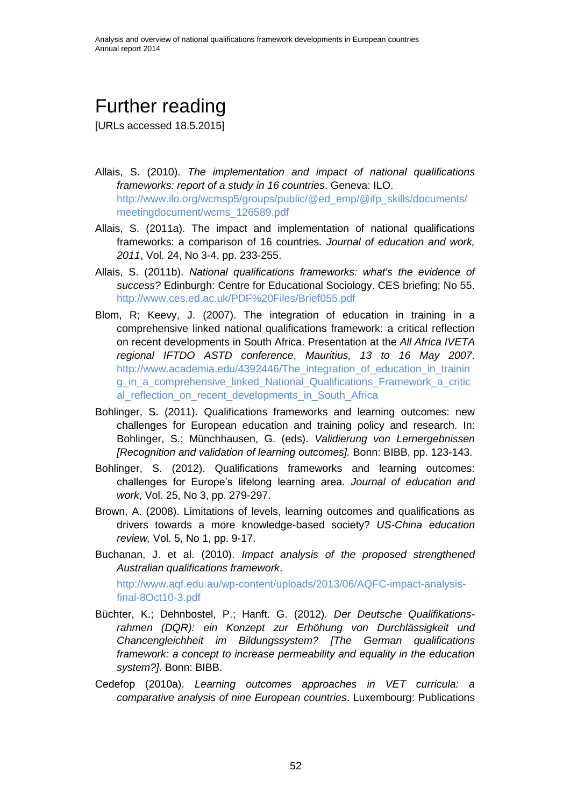# <span id="page-57-0"></span>Further reading

[URLs accessed 18.5.2015]

- Allais, S. (2010). *The implementation and impact of national qualifications frameworks: report of a study in 16 countries*. Geneva: ILO. [http://www.ilo.org/wcmsp5/groups/public/@ed\\_emp/@ifp\\_skills/documents/](http://www.ilo.org/wcmsp5/groups/public/@ed_emp/@ifp_skills/documents/meetingdocument/wcms_126589.pdf) [meetingdocument/wcms\\_126589.pdf](http://www.ilo.org/wcmsp5/groups/public/@ed_emp/@ifp_skills/documents/meetingdocument/wcms_126589.pdf)
- Allais, S. (2011a). The impact and implementation of national qualifications frameworks: a comparison of 16 countries. *Journal of education and work, 2011*, Vol. 24, No 3-4, pp. 233-255.
- Allais, S. (2011b). *National qualifications frameworks: what's the evidence of success?* Edinburgh: Centre for Educational Sociology. CES briefing; No 55. <http://www.ces.ed.ac.uk/PDF%20Files/Brief055.pdf>
- Blom, R; Keevy, J. (2007). The integration of education in training in a comprehensive linked national qualifications framework: a critical reflection on recent developments in South Africa. Presentation at the *All Africa IVETA regional IFTDO ASTD conference*, *Mauritius, 13 to 16 May 2007*. [http://www.academia.edu/4392446/The\\_integration\\_of\\_education\\_in\\_trainin](http://www.academia.edu/4392446/The_integration_of_education_in_training_in_a_comprehensive_linked_National_Qualifications_Framework_a_critical_reflection_on_recent_developments_in_South_Africa) [g\\_in\\_a\\_comprehensive\\_linked\\_National\\_Qualifications\\_Framework\\_a\\_critic](http://www.academia.edu/4392446/The_integration_of_education_in_training_in_a_comprehensive_linked_National_Qualifications_Framework_a_critical_reflection_on_recent_developments_in_South_Africa) al reflection on recent developments in South Africa
- Bohlinger, S. (2011). Qualifications frameworks and learning outcomes: new challenges for European education and training policy and research. In: Bohlinger, S.; Münchhausen, G. (eds). *Validierung von Lernergebnissen [Recognition and validation of learning outcomes].* Bonn: BIBB, pp. 123-143.
- Bohlinger, S. (2012). Qualifications frameworks and learning outcomes: challenges for Europe's lifelong learning area. *Journal of education and work*, Vol. 25, No 3, pp. 279-297.
- Brown, A. (2008). Limitations of levels, learning outcomes and qualifications as drivers towards a more knowledge-based society? *US-China education review,* Vol. 5, No 1, pp. 9-17.
- Buchanan, J. et al. (2010). *Impact analysis of the proposed strengthened Australian qualifications framework*.

[http://www.aqf.edu.au/wp-content/uploads/2013/06/AQFC-impact-analysis](http://www.aqf.edu.au/wp-content/uploads/2013/06/AQFC-impact-analysis-final-8Oct10-3.pdf)[final-8Oct10-3.pdf](http://www.aqf.edu.au/wp-content/uploads/2013/06/AQFC-impact-analysis-final-8Oct10-3.pdf)

- Büchter, K.; Dehnbostel, P.; Hanft. G. (2012). *Der Deutsche Qualifikationsrahmen (DQR): ein Konzept zur Erhöhung von Durchlässigkeit und Chancengleichheit im Bildungssystem? [The German qualifications framework: a concept to increase permeability and equality in the education system?]*. Bonn: BIBB.
- Cedefop (2010a). *Learning outcomes approaches in VET curricula: a comparative analysis of nine European countries*. Luxembourg: Publications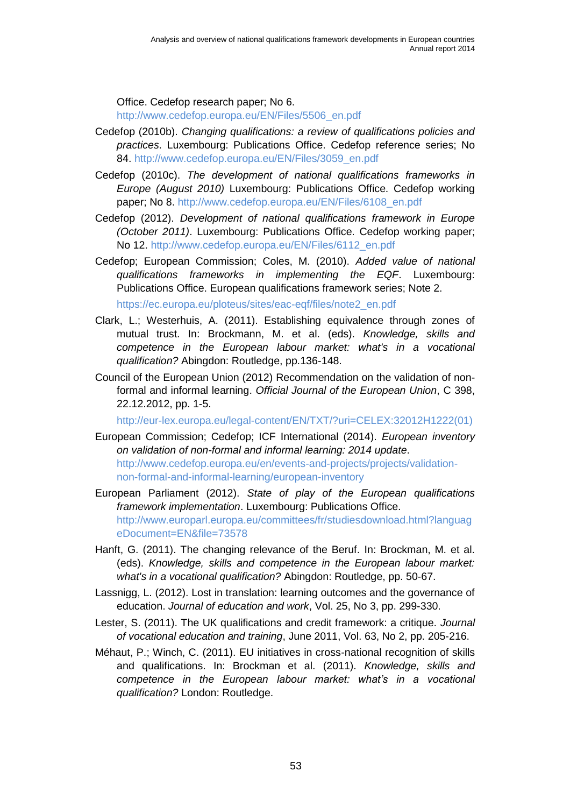Office. Cedefop research paper; No 6.

[http://www.cedefop.europa.eu/EN/Files/5506\\_en.pdf](http://www.cedefop.europa.eu/EN/Files/5506_en.pdf)

- Cedefop (2010b). *Changing qualifications: a review of qualifications policies and practices*. Luxembourg: Publications Office. Cedefop reference series; No 84. [http://www.cedefop.europa.eu/EN/Files/3059\\_en.pdf](http://www.cedefop.europa.eu/EN/Files/3059_en.pdf)
- Cedefop (2010c). *The development of national qualifications frameworks in Europe (August 2010)* Luxembourg: Publications Office. Cedefop working paper; No 8. [http://www.cedefop.europa.eu/EN/Files/6108\\_en.pdf](http://www.cedefop.europa.eu/EN/Files/6108_en.pdf)
- Cedefop (2012). *Development of national qualifications framework in Europe (October 2011)*. Luxembourg: Publications Office. Cedefop working paper; No 12. [http://www.cedefop.europa.eu/EN/Files/6112\\_en.pdf](http://www.cedefop.europa.eu/EN/Files/6112_en.pdf)
- Cedefop; European Commission; Coles, M. (2010). *Added value of national qualifications frameworks in implementing the EQF*. Luxembourg: Publications Office. European qualifications framework series; Note 2.

[https://ec.europa.eu/ploteus/sites/eac-eqf/files/note2\\_en.pdf](https://ec.europa.eu/ploteus/sites/eac-eqf/files/note2_en.pdf)

- Clark, L.; Westerhuis, A. (2011). Establishing equivalence through zones of mutual trust. In: Brockmann, M. et al. (eds). *Knowledge, skills and competence in the European labour market: what's in a vocational qualification?* Abingdon: Routledge, pp.136-148.
- Council of the European Union (2012) Recommendation on the validation of nonformal and informal learning. *Official Journal of the European Union*, C 398, 22.12.2012, pp. 1-5.

[http://eur-lex.europa.eu/legal-content/EN/TXT/?uri=CELEX:32012H1222\(01\)](http://eur-lex.europa.eu/legal-content/EN/TXT/?uri=CELEX:32012H1222(01))

- European Commission; Cedefop; ICF International (2014). *European inventory on validation of non-formal and informal learning: 2014 update*. [http://www.cedefop.europa.eu/en/events-and-projects/projects/validation](http://www.cedefop.europa.eu/en/events-and-projects/projects/validation-non-formal-and-informal-learning/european-inventory)[non-formal-and-informal-learning/european-inventory](http://www.cedefop.europa.eu/en/events-and-projects/projects/validation-non-formal-and-informal-learning/european-inventory)
- European Parliament (2012). *State of play of the European qualifications framework implementation*. Luxembourg: Publications Office. [http://www.europarl.europa.eu/committees/fr/studiesdownload.html?languag](http://www.europarl.europa.eu/committees/fr/studiesdownload.html?languageDocument=EN&file=73578) [eDocument=EN&file=73578](http://www.europarl.europa.eu/committees/fr/studiesdownload.html?languageDocument=EN&file=73578)
- Hanft, G. (2011). The changing relevance of the Beruf. In: Brockman, M. et al. (eds). *Knowledge, skills and competence in the European labour market: what's in a vocational qualification?* Abingdon: Routledge, pp. 50-67.
- Lassnigg, L. (2012). Lost in translation: learning outcomes and the governance of education. *Journal of education and work*, Vol. 25, No 3, pp. 299-330.
- Lester, S. (2011). The UK qualifications and credit framework: a critique. *Journal of vocational education and training*, June 2011, Vol. 63, No 2, pp. 205-216.
- Méhaut, P.; Winch, C. (2011). EU initiatives in cross-national recognition of skills and qualifications. In: Brockman et al. (2011). *Knowledge, skills and competence in the European labour market: what's in a vocational qualification?* London: Routledge.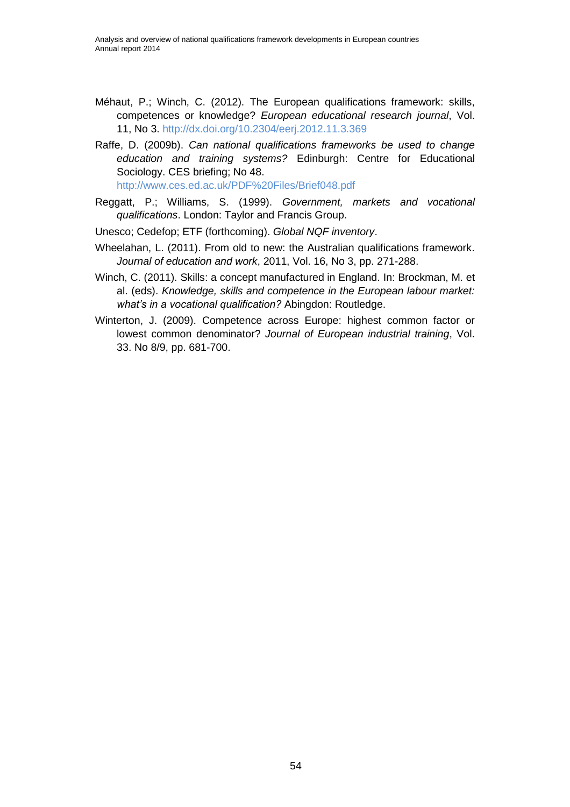- Méhaut, P.; Winch, C. (2012). The European qualifications framework: skills, competences or knowledge? *European educational research journal*, Vol. 11, No 3.<http://dx.doi.org/10.2304/eerj.2012.11.3.369>
- Raffe, D. (2009b). *Can national qualifications frameworks be used to change education and training systems?* Edinburgh: Centre for Educational Sociology. CES briefing; No 48. <http://www.ces.ed.ac.uk/PDF%20Files/Brief048.pdf>
- Reggatt, P.; Williams, S. (1999). *Government, markets and vocational*
- *qualifications*. London: Taylor and Francis Group.
- Unesco; Cedefop; ETF (forthcoming). *Global NQF inventory*.
- Wheelahan, L. (2011). From old to new: the Australian qualifications framework. *Journal of education and work*, 2011, Vol. 16, No 3, pp. 271-288.
- Winch, C. (2011). Skills: a concept manufactured in England. In: Brockman, M. et al. (eds). *Knowledge, skills and competence in the European labour market: what's in a vocational qualification?* Abingdon: Routledge.
- Winterton, J. (2009). Competence across Europe: highest common factor or lowest common denominator? *Journal of European industrial training*, Vol. 33. No 8/9, pp. 681-700.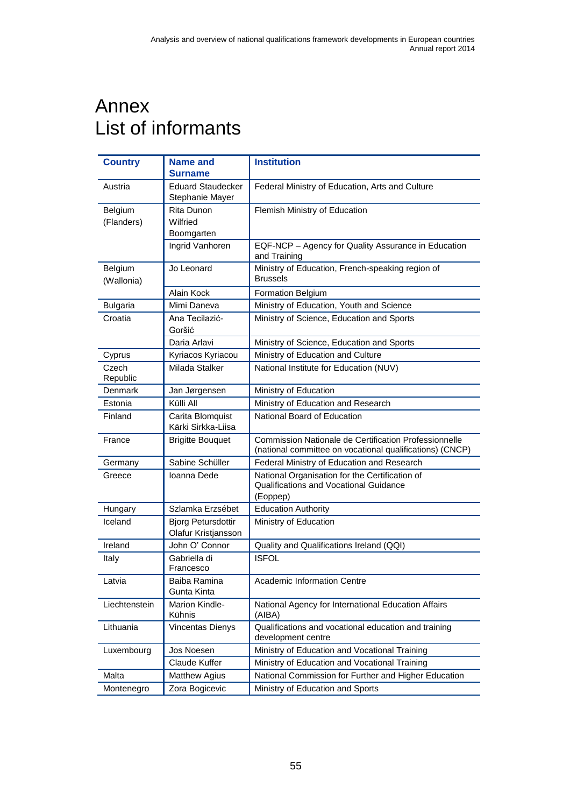## <span id="page-60-0"></span>Annex List of informants

| <b>Country</b>        | <b>Name and</b><br><b>Surname</b>                | <b>Institution</b>                                                                                                       |
|-----------------------|--------------------------------------------------|--------------------------------------------------------------------------------------------------------------------------|
| Austria               | <b>Eduard Staudecker</b><br>Stephanie Mayer      | Federal Ministry of Education, Arts and Culture                                                                          |
| Belgium<br>(Flanders) | Rita Dunon<br>Wilfried                           | Flemish Ministry of Education                                                                                            |
|                       | Boomgarten                                       |                                                                                                                          |
|                       | Ingrid Vanhoren                                  | EQF-NCP - Agency for Quality Assurance in Education<br>and Training                                                      |
| Belgium<br>(Wallonia) | Jo Leonard                                       | Ministry of Education, French-speaking region of<br><b>Brussels</b>                                                      |
|                       | Alain Kock                                       | <b>Formation Belgium</b>                                                                                                 |
| <b>Bulgaria</b>       | Mimi Daneva                                      | Ministry of Education, Youth and Science                                                                                 |
| Croatia               | Ana Tecilazić-<br>Goršić                         | Ministry of Science, Education and Sports                                                                                |
|                       | Daria Arlavi                                     | Ministry of Science, Education and Sports                                                                                |
| Cyprus                | Kyriacos Kyriacou                                | Ministry of Education and Culture                                                                                        |
| Czech<br>Republic     | Milada Stalker                                   | National Institute for Education (NUV)                                                                                   |
| Denmark               | Jan Jørgensen                                    | Ministry of Education                                                                                                    |
| Estonia               | Külli All                                        | Ministry of Education and Research                                                                                       |
| Finland               | Carita Blomquist<br>Kärki Sirkka-Liisa           | National Board of Education                                                                                              |
| France                | <b>Brigitte Bouquet</b>                          | <b>Commission Nationale de Certification Professionnelle</b><br>(national committee on vocational qualifications) (CNCP) |
| Germany               | Sabine Schüller                                  | Federal Ministry of Education and Research                                                                               |
| Greece                | Ioanna Dede                                      | National Organisation for the Certification of<br>Qualifications and Vocational Guidance<br>(Eoppep)                     |
| Hungary               | Szlamka Erzsébet                                 | <b>Education Authority</b>                                                                                               |
| Iceland               | <b>Bjorg Petursdottir</b><br>Olafur Kristjansson | Ministry of Education                                                                                                    |
| Ireland               | John O' Connor                                   | Quality and Qualifications Ireland (QQI)                                                                                 |
| Italy                 | Gabriella di<br>Francesco                        | <b>ISFOL</b>                                                                                                             |
| Latvia                | Baiba Ramina<br>Gunta Kinta                      | Academic Information Centre                                                                                              |
| Liechtenstein         | Marion Kindle-<br>Kühnis                         | National Agency for International Education Affairs<br>(AIBA)                                                            |
| Lithuania             | Vincentas Dienys                                 | Qualifications and vocational education and training<br>development centre                                               |
| Luxembourg            | Jos Noesen                                       | Ministry of Education and Vocational Training                                                                            |
|                       | Claude Kuffer                                    | Ministry of Education and Vocational Training                                                                            |
| Malta                 | <b>Matthew Agius</b>                             | National Commission for Further and Higher Education                                                                     |
| Montenegro            | Zora Bogicevic                                   | Ministry of Education and Sports                                                                                         |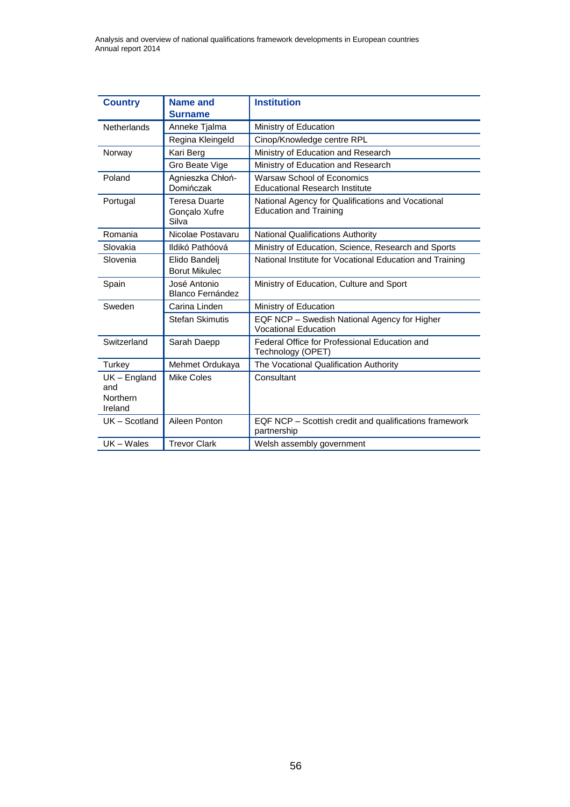Analysis and overview of national qualifications framework developments in European countries Annual report 2014

| <b>Country</b>                               | Name and<br><b>Surname</b>                     | <b>Institution</b>                                                                 |
|----------------------------------------------|------------------------------------------------|------------------------------------------------------------------------------------|
| <b>Netherlands</b>                           | Anneke Tjalma                                  | Ministry of Education                                                              |
|                                              | Regina Kleingeld                               | Cinop/Knowledge centre RPL                                                         |
| Norway                                       | Kari Berg                                      | Ministry of Education and Research                                                 |
|                                              | Gro Beate Vige                                 | Ministry of Education and Research                                                 |
| Poland                                       | Agnieszka Chłoń-<br>Domińczak                  | Warsaw School of Economics<br><b>Educational Research Institute</b>                |
| Portugal                                     | <b>Teresa Duarte</b><br>Gonçalo Xufre<br>Silva | National Agency for Qualifications and Vocational<br><b>Education and Training</b> |
| Romania                                      | Nicolae Postavaru                              | <b>National Qualifications Authority</b>                                           |
| Slovakia                                     | Ildikó Pathóová                                | Ministry of Education, Science, Research and Sports                                |
| Slovenia                                     | Elido Bandeli<br><b>Borut Mikulec</b>          | National Institute for Vocational Education and Training                           |
| Spain                                        | José Antonio<br><b>Blanco Fernández</b>        | Ministry of Education, Culture and Sport                                           |
| Sweden                                       | Carina Linden                                  | Ministry of Education                                                              |
|                                              | <b>Stefan Skimutis</b>                         | EQF NCP - Swedish National Agency for Higher<br><b>Vocational Education</b>        |
| Switzerland                                  | Sarah Daepp                                    | Federal Office for Professional Education and<br>Technology (OPET)                 |
| Turkey                                       | Mehmet Ordukaya                                | The Vocational Qualification Authority                                             |
| $UK$ – England<br>and<br>Northern<br>Ireland | <b>Mike Coles</b>                              | Consultant                                                                         |
| UK - Scotland                                | Aileen Ponton                                  | EQF NCP - Scottish credit and qualifications framework<br>partnership              |
| UK-Wales                                     | <b>Trevor Clark</b>                            | Welsh assembly government                                                          |